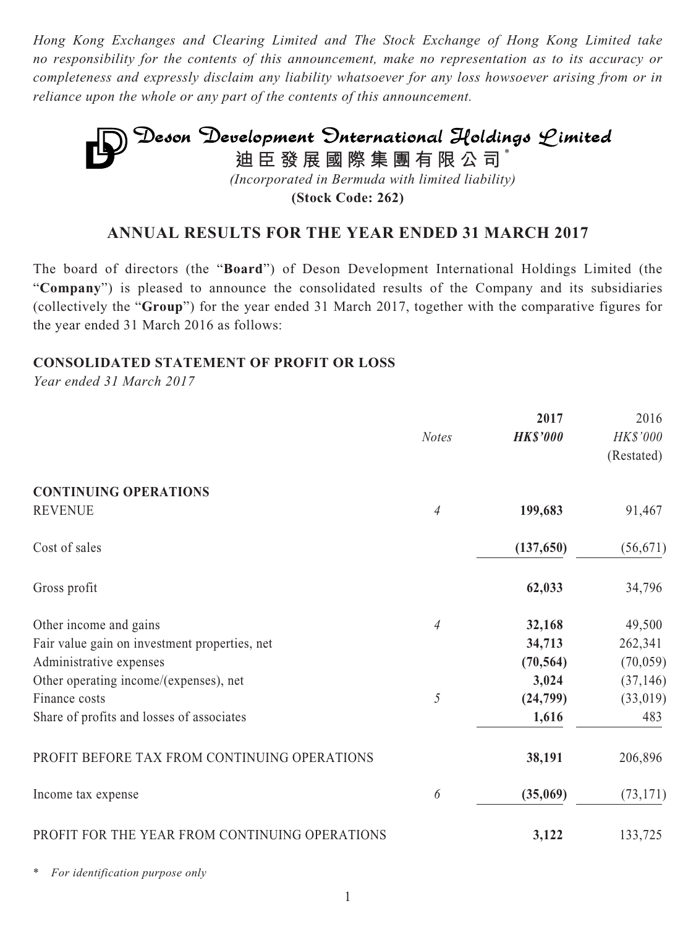*Hong Kong Exchanges and Clearing Limited and The Stock Exchange of Hong Kong Limited take no responsibility for the contents of this announcement, make no representation as to its accuracy or completeness and expressly disclaim any liability whatsoever for any loss howsoever arising from or in reliance upon the whole or any part of the contents of this announcement.*

# **Deson Development Onternational Holdings Limited**<br>迪臣發展國際集團有限公司<sup>\*</sup> *(Incorporated in Bermuda with limited liability)*

**(Stock Code: 262)**

# **ANNUAL RESULTS FOR THE YEAR ENDED 31 MARCH 2017**

The board of directors (the "**Board**") of Deson Development International Holdings Limited (the "**Company**") is pleased to announce the consolidated results of the Company and its subsidiaries (collectively the "**Group**") for the year ended 31 March 2017, together with the comparative figures for the year ended 31 March 2016 as follows:

## **CONSOLIDATED STATEMENT OF PROFIT OR LOSS**

*Year ended 31 March 2017*

|                                                | <b>Notes</b>   | 2017<br><b>HK\$'000</b> | 2016<br>HK\$'000 |
|------------------------------------------------|----------------|-------------------------|------------------|
|                                                |                |                         | (Restated)       |
| <b>CONTINUING OPERATIONS</b>                   |                |                         |                  |
| <b>REVENUE</b>                                 | 4              | 199,683                 | 91,467           |
| Cost of sales                                  |                | (137, 650)              | (56, 671)        |
| Gross profit                                   |                | 62,033                  | 34,796           |
| Other income and gains                         | $\overline{4}$ | 32,168                  | 49,500           |
| Fair value gain on investment properties, net  |                | 34,713                  | 262,341          |
| Administrative expenses                        |                | (70, 564)               | (70, 059)        |
| Other operating income/(expenses), net         |                | 3,024                   | (37, 146)        |
| Finance costs                                  | 5              | (24,799)                | (33, 019)        |
| Share of profits and losses of associates      |                | 1,616                   | 483              |
| PROFIT BEFORE TAX FROM CONTINUING OPERATIONS   |                | 38,191                  | 206,896          |
| Income tax expense                             | 6              | (35,069)                | (73, 171)        |
| PROFIT FOR THE YEAR FROM CONTINUING OPERATIONS |                | 3,122                   | 133,725          |
|                                                |                |                         |                  |

 $For$  *identification purpose only*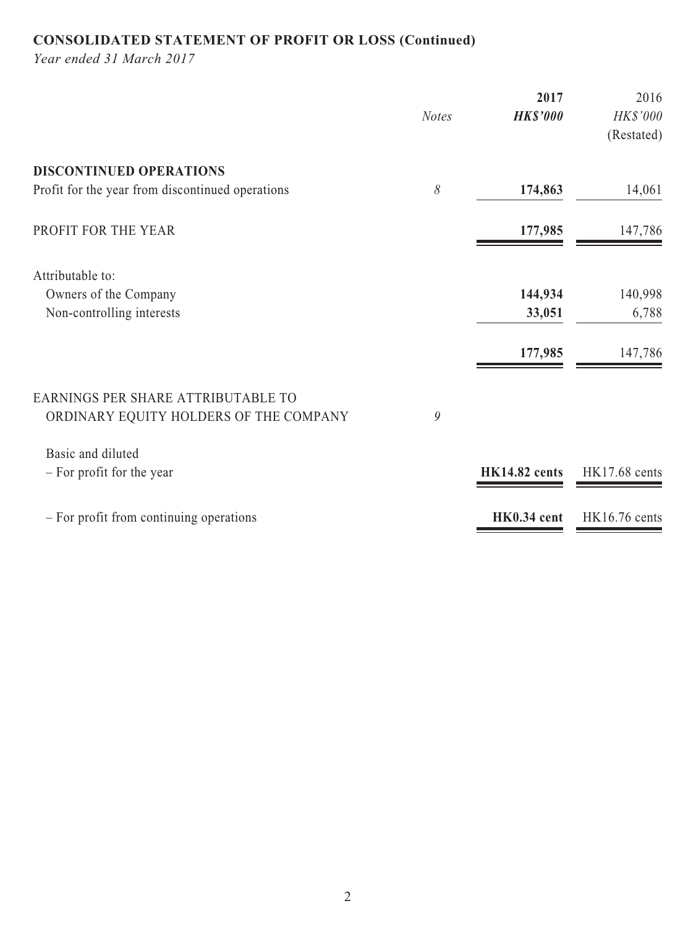# **CONSOLIDATED STATEMENT OF PROFIT OR LOSS (Continued)**

*Year ended 31 March 2017*

|                                                                              | <b>Notes</b> | 2017<br><b>HK\$'000</b> | 2016<br>HK\$'000<br>(Restated) |
|------------------------------------------------------------------------------|--------------|-------------------------|--------------------------------|
| <b>DISCONTINUED OPERATIONS</b>                                               |              |                         |                                |
| Profit for the year from discontinued operations                             | 8            | 174,863                 | 14,061                         |
| PROFIT FOR THE YEAR                                                          |              | 177,985                 | 147,786                        |
| Attributable to:                                                             |              |                         |                                |
| Owners of the Company                                                        |              | 144,934                 | 140,998                        |
| Non-controlling interests                                                    |              | 33,051                  | 6,788                          |
|                                                                              |              | 177,985                 | 147,786                        |
| EARNINGS PER SHARE ATTRIBUTABLE TO<br>ORDINARY EQUITY HOLDERS OF THE COMPANY | 9            |                         |                                |
|                                                                              |              |                         |                                |
| Basic and diluted                                                            |              |                         |                                |
| - For profit for the year                                                    |              | <b>HK14.82 cents</b>    | <b>HK17.68</b> cents           |
| - For profit from continuing operations                                      |              | HK0.34 cent             | <b>HK16.76</b> cents           |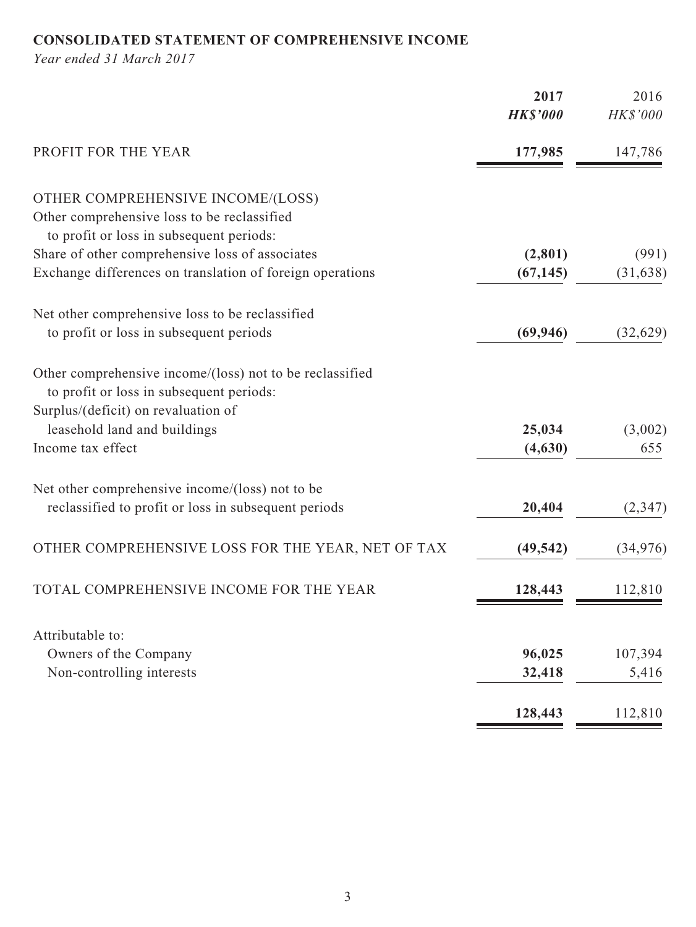# **CONSOLIDATED STATEMENT OF COMPREHENSIVE INCOME**

*Year ended 31 March 2017*

|                                                                                                      | 2017<br><b>HK\$'000</b> | 2016<br>HK\$'000 |
|------------------------------------------------------------------------------------------------------|-------------------------|------------------|
| PROFIT FOR THE YEAR                                                                                  | 177,985                 | 147,786          |
|                                                                                                      |                         |                  |
| OTHER COMPREHENSIVE INCOME/(LOSS)                                                                    |                         |                  |
| Other comprehensive loss to be reclassified                                                          |                         |                  |
| to profit or loss in subsequent periods:                                                             |                         |                  |
| Share of other comprehensive loss of associates                                                      | (2,801)                 | (991)            |
| Exchange differences on translation of foreign operations                                            | (67, 145)               | (31, 638)        |
| Net other comprehensive loss to be reclassified                                                      |                         |                  |
| to profit or loss in subsequent periods                                                              | (69, 946)               | (32, 629)        |
| Other comprehensive income/(loss) not to be reclassified<br>to profit or loss in subsequent periods: |                         |                  |
| Surplus/(deficit) on revaluation of                                                                  |                         |                  |
| leasehold land and buildings                                                                         | 25,034                  | (3,002)          |
| Income tax effect                                                                                    | (4,630)                 | 655              |
| Net other comprehensive income/(loss) not to be                                                      |                         |                  |
| reclassified to profit or loss in subsequent periods                                                 | 20,404                  | (2,347)          |
| OTHER COMPREHENSIVE LOSS FOR THE YEAR, NET OF TAX                                                    | (49, 542)               | (34, 976)        |
| TOTAL COMPREHENSIVE INCOME FOR THE YEAR                                                              | 128,443                 | 112,810          |
| Attributable to:                                                                                     |                         |                  |
| Owners of the Company                                                                                | 96,025                  | 107,394          |
| Non-controlling interests                                                                            | 32,418                  | 5,416            |
|                                                                                                      |                         |                  |
|                                                                                                      | 128,443                 | 112,810          |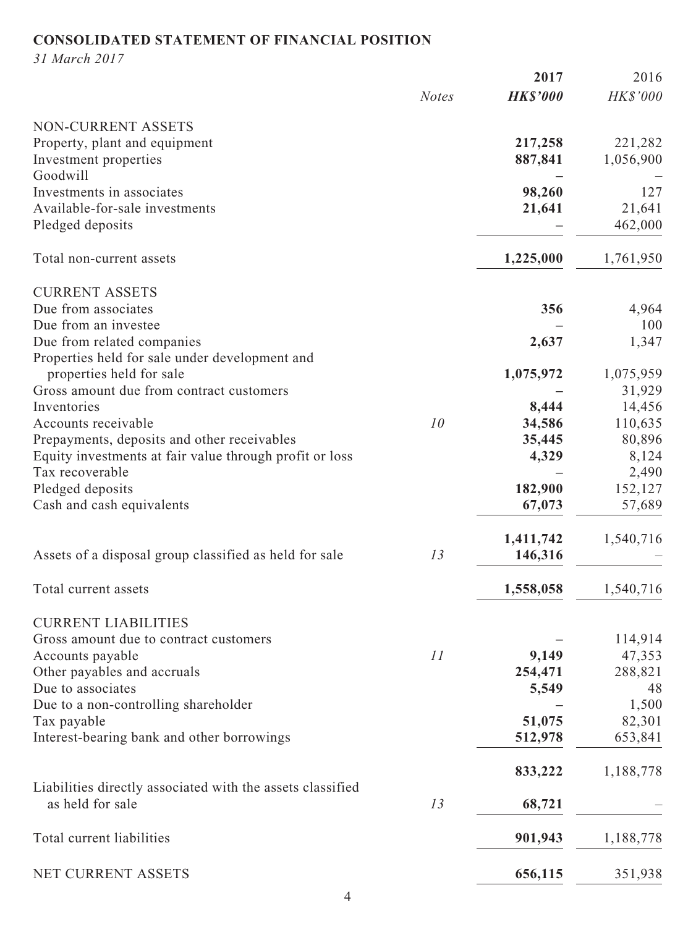# **CONSOLIDATED STATEMENT OF FINANCIAL POSITION**

*31 March 2017*

|                                                                                |              | 2017            | 2016      |
|--------------------------------------------------------------------------------|--------------|-----------------|-----------|
|                                                                                | <b>Notes</b> | <b>HK\$'000</b> | HK\$'000  |
| NON-CURRENT ASSETS                                                             |              |                 |           |
| Property, plant and equipment                                                  |              | 217,258         | 221,282   |
| Investment properties                                                          |              | 887,841         | 1,056,900 |
| Goodwill                                                                       |              |                 |           |
| Investments in associates                                                      |              | 98,260          | 127       |
| Available-for-sale investments                                                 |              | 21,641          | 21,641    |
| Pledged deposits                                                               |              |                 | 462,000   |
| Total non-current assets                                                       |              | 1,225,000       | 1,761,950 |
| <b>CURRENT ASSETS</b>                                                          |              |                 |           |
| Due from associates                                                            |              | 356             | 4,964     |
| Due from an investee                                                           |              |                 | 100       |
| Due from related companies                                                     |              | 2,637           | 1,347     |
| Properties held for sale under development and                                 |              |                 |           |
| properties held for sale                                                       |              | 1,075,972       | 1,075,959 |
| Gross amount due from contract customers                                       |              |                 | 31,929    |
| Inventories                                                                    |              | 8,444           | 14,456    |
| Accounts receivable                                                            | 10           | 34,586          | 110,635   |
| Prepayments, deposits and other receivables                                    |              | 35,445          | 80,896    |
| Equity investments at fair value through profit or loss                        |              | 4,329           | 8,124     |
| Tax recoverable                                                                |              |                 | 2,490     |
| Pledged deposits                                                               |              | 182,900         | 152,127   |
| Cash and cash equivalents                                                      |              | 67,073          | 57,689    |
|                                                                                |              | 1,411,742       | 1,540,716 |
| Assets of a disposal group classified as held for sale                         | 13           | 146,316         |           |
| Total current assets                                                           |              | 1,558,058       | 1,540,716 |
| <b>CURRENT LIABILITIES</b>                                                     |              |                 |           |
| Gross amount due to contract customers                                         |              |                 | 114,914   |
| Accounts payable                                                               | 11           | 9,149           | 47,353    |
| Other payables and accruals                                                    |              | 254,471         | 288,821   |
| Due to associates                                                              |              | 5,549           | 48        |
| Due to a non-controlling shareholder                                           |              |                 | 1,500     |
| Tax payable                                                                    |              | 51,075          | 82,301    |
| Interest-bearing bank and other borrowings                                     |              | 512,978         | 653,841   |
|                                                                                |              | 833,222         | 1,188,778 |
| Liabilities directly associated with the assets classified<br>as held for sale | 13           | 68,721          |           |
|                                                                                |              |                 |           |
| Total current liabilities                                                      |              | 901,943         | 1,188,778 |
| NET CURRENT ASSETS                                                             |              | 656,115         | 351,938   |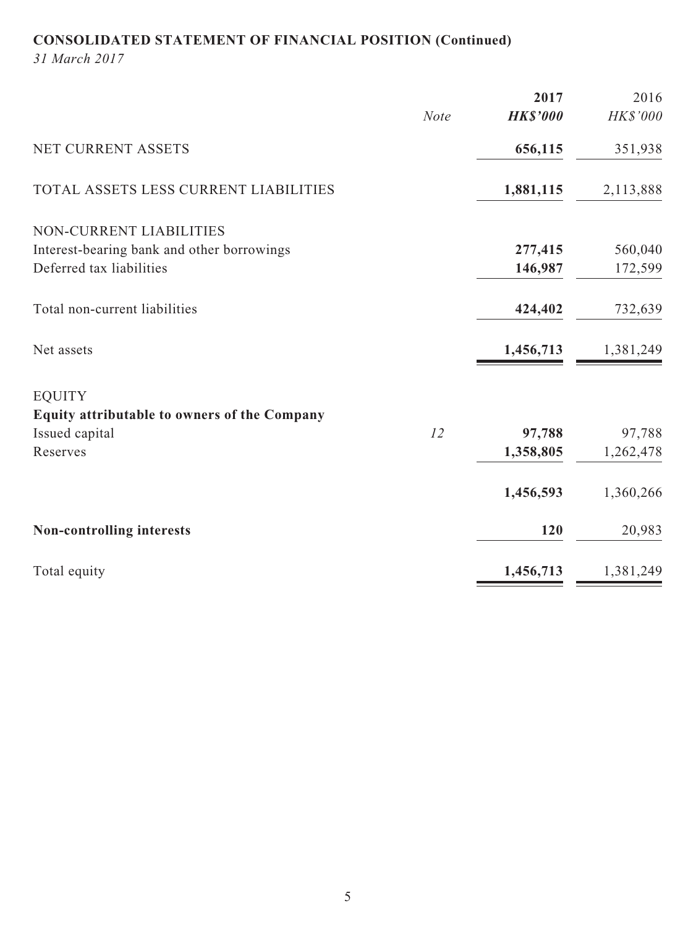# **CONSOLIDATED STATEMENT OF FINANCIAL POSITION (Continued)**

*31 March 2017*

|                                              |             | 2017            | 2016      |
|----------------------------------------------|-------------|-----------------|-----------|
|                                              | <b>Note</b> | <b>HK\$'000</b> | HK\$'000  |
| NET CURRENT ASSETS                           |             | 656,115         | 351,938   |
| TOTAL ASSETS LESS CURRENT LIABILITIES        |             | 1,881,115       | 2,113,888 |
| NON-CURRENT LIABILITIES                      |             |                 |           |
| Interest-bearing bank and other borrowings   |             | 277,415         | 560,040   |
| Deferred tax liabilities                     |             | 146,987         | 172,599   |
| Total non-current liabilities                |             | 424,402         | 732,639   |
| Net assets                                   |             | 1,456,713       | 1,381,249 |
| <b>EQUITY</b>                                |             |                 |           |
| Equity attributable to owners of the Company |             |                 |           |
| Issued capital                               | 12          | 97,788          | 97,788    |
| Reserves                                     |             | 1,358,805       | 1,262,478 |
|                                              |             | 1,456,593       | 1,360,266 |
| <b>Non-controlling interests</b>             |             | 120             | 20,983    |
| Total equity                                 |             | 1,456,713       | 1,381,249 |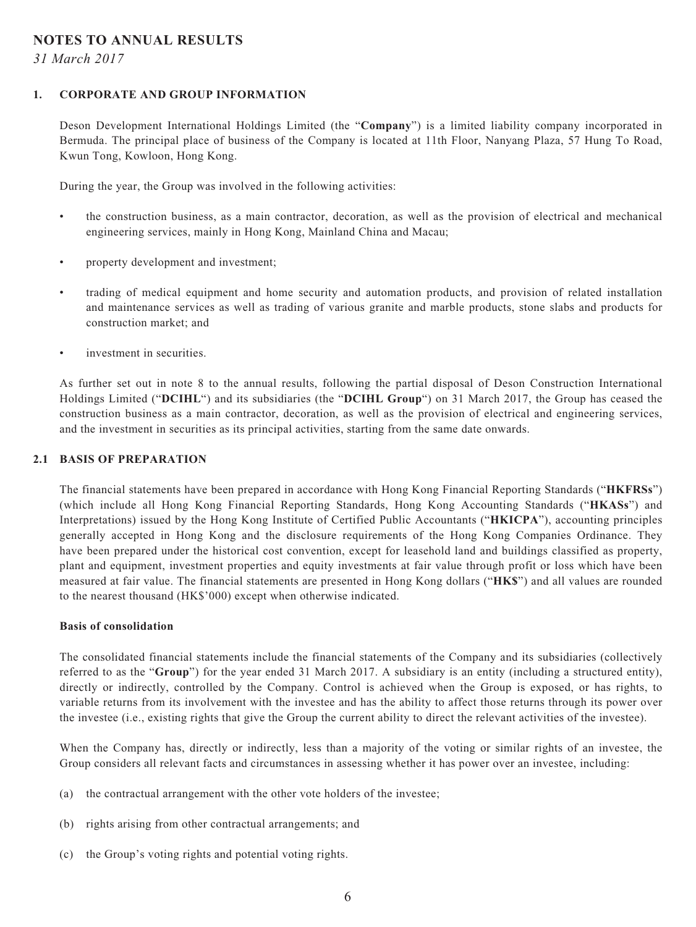#### **NOTES TO ANNUAL RESULTS**

*31 March 2017*

#### **1. CORPORATE AND GROUP INFORMATION**

Deson Development International Holdings Limited (the "**Company**") is a limited liability company incorporated in Bermuda. The principal place of business of the Company is located at 11th Floor, Nanyang Plaza, 57 Hung To Road, Kwun Tong, Kowloon, Hong Kong.

During the year, the Group was involved in the following activities:

- the construction business, as a main contractor, decoration, as well as the provision of electrical and mechanical engineering services, mainly in Hong Kong, Mainland China and Macau;
- property development and investment;
- trading of medical equipment and home security and automation products, and provision of related installation and maintenance services as well as trading of various granite and marble products, stone slabs and products for construction market; and
- investment in securities.

As further set out in note 8 to the annual results, following the partial disposal of Deson Construction International Holdings Limited ("**DCIHL**") and its subsidiaries (the "**DCIHL Group**") on 31 March 2017, the Group has ceased the construction business as a main contractor, decoration, as well as the provision of electrical and engineering services, and the investment in securities as its principal activities, starting from the same date onwards.

#### **2.1 BASIS OF PREPARATION**

The financial statements have been prepared in accordance with Hong Kong Financial Reporting Standards ("**HKFRSs**") (which include all Hong Kong Financial Reporting Standards, Hong Kong Accounting Standards ("**HKASs**") and Interpretations) issued by the Hong Kong Institute of Certified Public Accountants ("**HKICPA**"), accounting principles generally accepted in Hong Kong and the disclosure requirements of the Hong Kong Companies Ordinance. They have been prepared under the historical cost convention, except for leasehold land and buildings classified as property, plant and equipment, investment properties and equity investments at fair value through profit or loss which have been measured at fair value. The financial statements are presented in Hong Kong dollars ("**HK\$**") and all values are rounded to the nearest thousand (HK\$'000) except when otherwise indicated.

#### **Basis of consolidation**

The consolidated financial statements include the financial statements of the Company and its subsidiaries (collectively referred to as the "**Group**") for the year ended 31 March 2017. A subsidiary is an entity (including a structured entity), directly or indirectly, controlled by the Company. Control is achieved when the Group is exposed, or has rights, to variable returns from its involvement with the investee and has the ability to affect those returns through its power over the investee (i.e., existing rights that give the Group the current ability to direct the relevant activities of the investee).

When the Company has, directly or indirectly, less than a majority of the voting or similar rights of an investee, the Group considers all relevant facts and circumstances in assessing whether it has power over an investee, including:

- (a) the contractual arrangement with the other vote holders of the investee;
- (b) rights arising from other contractual arrangements; and
- (c) the Group's voting rights and potential voting rights.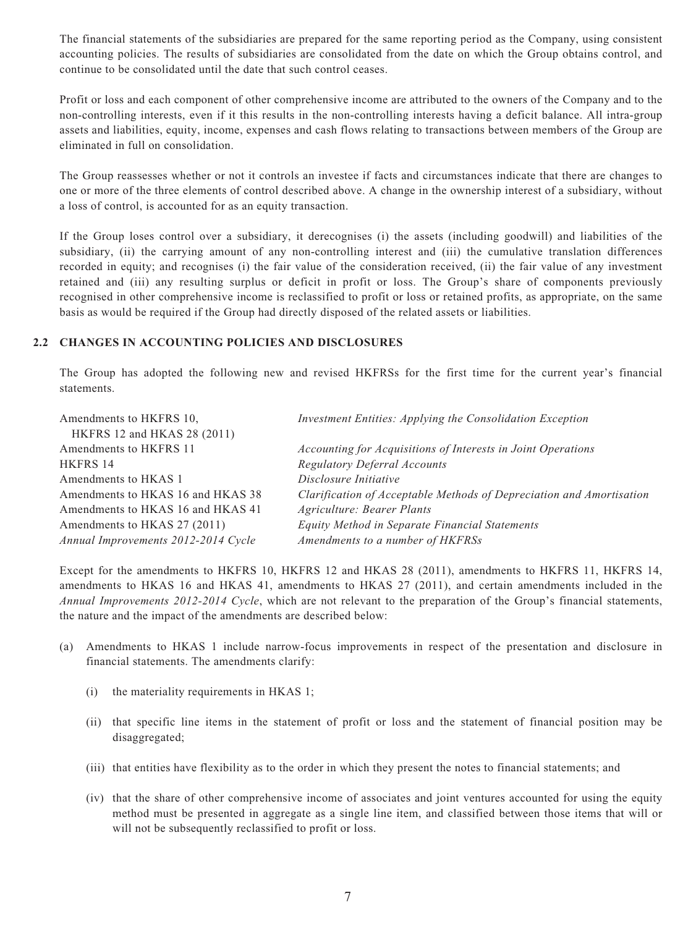The financial statements of the subsidiaries are prepared for the same reporting period as the Company, using consistent accounting policies. The results of subsidiaries are consolidated from the date on which the Group obtains control, and continue to be consolidated until the date that such control ceases.

Profit or loss and each component of other comprehensive income are attributed to the owners of the Company and to the non-controlling interests, even if it this results in the non-controlling interests having a deficit balance. All intra-group assets and liabilities, equity, income, expenses and cash flows relating to transactions between members of the Group are eliminated in full on consolidation.

The Group reassesses whether or not it controls an investee if facts and circumstances indicate that there are changes to one or more of the three elements of control described above. A change in the ownership interest of a subsidiary, without a loss of control, is accounted for as an equity transaction.

If the Group loses control over a subsidiary, it derecognises (i) the assets (including goodwill) and liabilities of the subsidiary, (ii) the carrying amount of any non-controlling interest and (iii) the cumulative translation differences recorded in equity; and recognises (i) the fair value of the consideration received, (ii) the fair value of any investment retained and (iii) any resulting surplus or deficit in profit or loss. The Group's share of components previously recognised in other comprehensive income is reclassified to profit or loss or retained profits, as appropriate, on the same basis as would be required if the Group had directly disposed of the related assets or liabilities.

#### **2.2 CHANGES IN ACCOUNTING POLICIES AND DISCLOSURES**

The Group has adopted the following new and revised HKFRSs for the first time for the current year's financial statements.

| Amendments to HKFRS 10,<br>HKFRS 12 and HKAS 28 (2011) | Investment Entities: Applying the Consolidation Exception            |
|--------------------------------------------------------|----------------------------------------------------------------------|
| Amendments to HKFRS 11                                 | Accounting for Acquisitions of Interests in Joint Operations         |
| HKFRS 14                                               | <b>Regulatory Deferral Accounts</b>                                  |
| Amendments to HKAS 1                                   | Disclosure Initiative                                                |
| Amendments to HKAS 16 and HKAS 38                      | Clarification of Acceptable Methods of Depreciation and Amortisation |
| Amendments to HKAS 16 and HKAS 41                      | Agriculture: Bearer Plants                                           |
| Amendments to HKAS 27 (2011)                           | Equity Method in Separate Financial Statements                       |
| Annual Improvements 2012-2014 Cycle                    | Amendments to a number of HKFRSs                                     |

Except for the amendments to HKFRS 10, HKFRS 12 and HKAS 28 (2011), amendments to HKFRS 11, HKFRS 14, amendments to HKAS 16 and HKAS 41, amendments to HKAS 27 (2011), and certain amendments included in the *Annual Improvements 2012-2014 Cycle*, which are not relevant to the preparation of the Group's financial statements, the nature and the impact of the amendments are described below:

- (a) Amendments to HKAS 1 include narrow-focus improvements in respect of the presentation and disclosure in financial statements. The amendments clarify:
	- (i) the materiality requirements in HKAS 1;
	- (ii) that specific line items in the statement of profit or loss and the statement of financial position may be disaggregated;
	- (iii) that entities have flexibility as to the order in which they present the notes to financial statements; and
	- (iv) that the share of other comprehensive income of associates and joint ventures accounted for using the equity method must be presented in aggregate as a single line item, and classified between those items that will or will not be subsequently reclassified to profit or loss.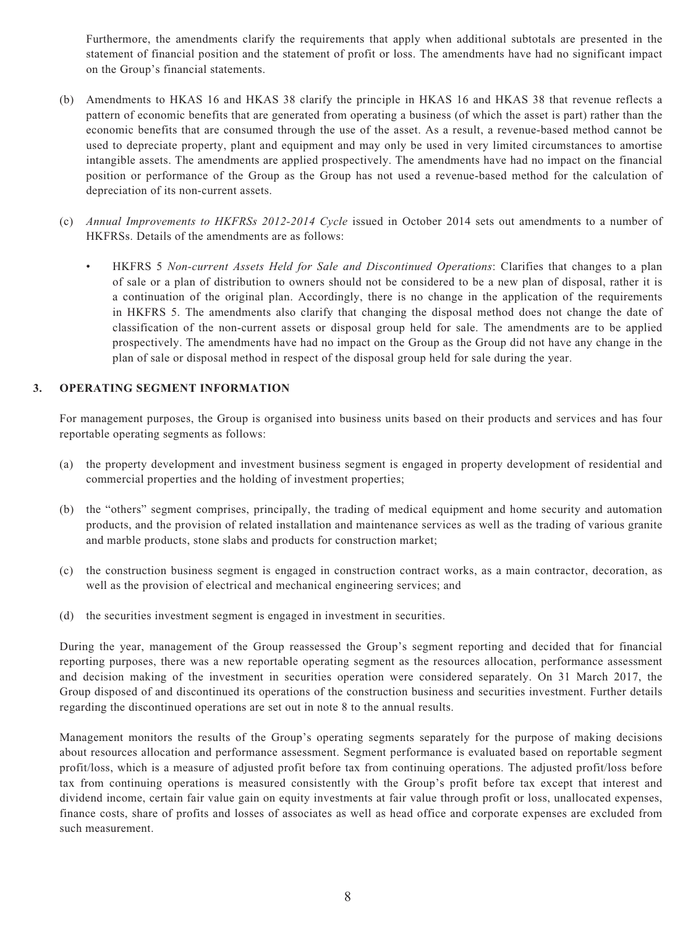Furthermore, the amendments clarify the requirements that apply when additional subtotals are presented in the statement of financial position and the statement of profit or loss. The amendments have had no significant impact on the Group's financial statements.

- (b) Amendments to HKAS 16 and HKAS 38 clarify the principle in HKAS 16 and HKAS 38 that revenue reflects a pattern of economic benefits that are generated from operating a business (of which the asset is part) rather than the economic benefits that are consumed through the use of the asset. As a result, a revenue-based method cannot be used to depreciate property, plant and equipment and may only be used in very limited circumstances to amortise intangible assets. The amendments are applied prospectively. The amendments have had no impact on the financial position or performance of the Group as the Group has not used a revenue-based method for the calculation of depreciation of its non-current assets.
- (c) *Annual Improvements to HKFRSs 2012-2014 Cycle* issued in October 2014 sets out amendments to a number of HKFRSs. Details of the amendments are as follows:
	- HKFRS 5 *Non-current Assets Held for Sale and Discontinued Operations*: Clarifies that changes to a plan of sale or a plan of distribution to owners should not be considered to be a new plan of disposal, rather it is a continuation of the original plan. Accordingly, there is no change in the application of the requirements in HKFRS 5. The amendments also clarify that changing the disposal method does not change the date of classification of the non-current assets or disposal group held for sale. The amendments are to be applied prospectively. The amendments have had no impact on the Group as the Group did not have any change in the plan of sale or disposal method in respect of the disposal group held for sale during the year.

#### **3. OPERATING SEGMENT INFORMATION**

For management purposes, the Group is organised into business units based on their products and services and has four reportable operating segments as follows:

- (a) the property development and investment business segment is engaged in property development of residential and commercial properties and the holding of investment properties;
- (b) the "others" segment comprises, principally, the trading of medical equipment and home security and automation products, and the provision of related installation and maintenance services as well as the trading of various granite and marble products, stone slabs and products for construction market;
- (c) the construction business segment is engaged in construction contract works, as a main contractor, decoration, as well as the provision of electrical and mechanical engineering services; and
- (d) the securities investment segment is engaged in investment in securities.

During the year, management of the Group reassessed the Group's segment reporting and decided that for financial reporting purposes, there was a new reportable operating segment as the resources allocation, performance assessment and decision making of the investment in securities operation were considered separately. On 31 March 2017, the Group disposed of and discontinued its operations of the construction business and securities investment. Further details regarding the discontinued operations are set out in note 8 to the annual results.

Management monitors the results of the Group's operating segments separately for the purpose of making decisions about resources allocation and performance assessment. Segment performance is evaluated based on reportable segment profit/loss, which is a measure of adjusted profit before tax from continuing operations. The adjusted profit/loss before tax from continuing operations is measured consistently with the Group's profit before tax except that interest and dividend income, certain fair value gain on equity investments at fair value through profit or loss, unallocated expenses, finance costs, share of profits and losses of associates as well as head office and corporate expenses are excluded from such measurement.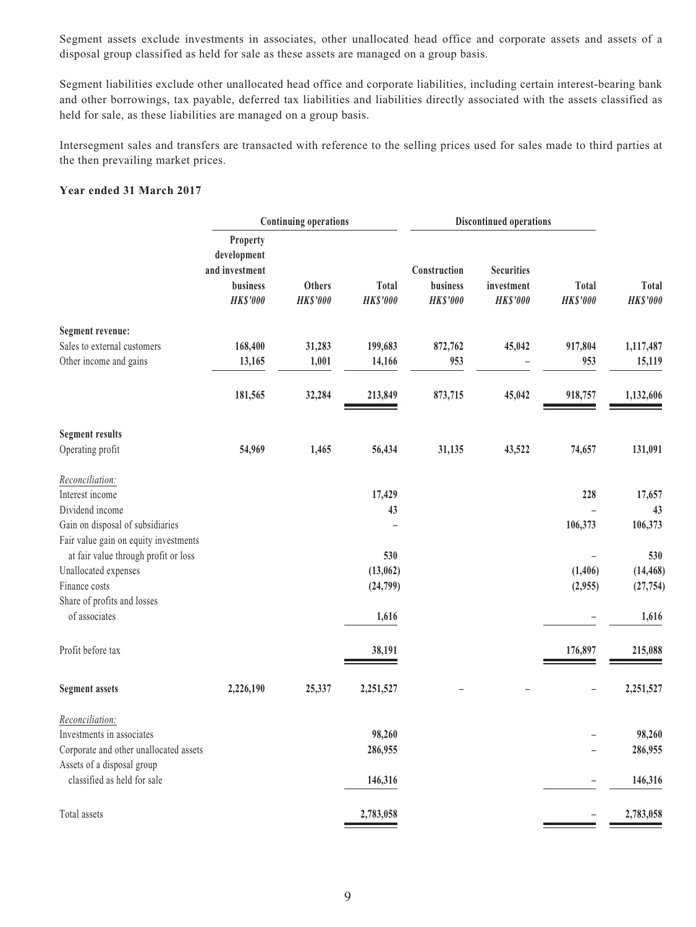Segment assets exclude investments in associates, other unallocated head office and corporate assets and assets of a disposal group classified as held for sale as these assets are managed on a group basis.

Segment liabilities exclude other unallocated head office and corporate liabilities, including certain interest-bearing bank and other borrowings, tax payable, deferred tax liabilities and liabilities directly associated with the assets classified as held for sale, as these liabilities are managed on a group basis.

Intersegment sales and transfers are transacted with reference to the selling prices used for sales made to third parties at the then prevailing market prices.

#### **Year ended 31 March 2017**

|                                                           | <b>Continuing operations</b>                                             |                                  |                          | <b>Discontinued operations</b>              |                                                    |                          |                          |
|-----------------------------------------------------------|--------------------------------------------------------------------------|----------------------------------|--------------------------|---------------------------------------------|----------------------------------------------------|--------------------------|--------------------------|
|                                                           | Property<br>development<br>and investment<br>business<br><b>HK\$'000</b> | <b>Others</b><br><b>HK\$'000</b> | Total<br><b>HK\$'000</b> | Construction<br>business<br><b>HK\$'000</b> | <b>Securities</b><br>investment<br><b>HK\$'000</b> | Total<br><b>HK\$'000</b> | Total<br><b>HK\$'000</b> |
| Segment revenue:                                          |                                                                          |                                  |                          |                                             |                                                    |                          |                          |
| Sales to external customers                               | 168,400                                                                  | 31,283                           | 199,683                  | 872,762                                     | 45,042                                             | 917,804                  | 1,117,487                |
| Other income and gains                                    | 13,165                                                                   | 1,001                            | 14,166                   | 953                                         |                                                    | 953                      | 15,119                   |
|                                                           | 181,565                                                                  | 32,284                           | 213,849                  | 873,715                                     | 45,042                                             | 918,757                  | 1,132,606                |
| <b>Segment results</b>                                    |                                                                          |                                  |                          |                                             |                                                    |                          |                          |
| Operating profit                                          | 54,969                                                                   | 1,465                            | 56,434                   | 31,135                                      | 43,522                                             | 74,657                   | 131,091                  |
| Reconciliation:                                           |                                                                          |                                  |                          |                                             |                                                    |                          |                          |
| Interest income                                           |                                                                          |                                  | 17,429                   |                                             |                                                    | 228                      | 17,657                   |
| Dividend income                                           |                                                                          |                                  | 43                       |                                             |                                                    |                          | 43                       |
| Gain on disposal of subsidiaries                          |                                                                          |                                  |                          |                                             |                                                    | 106,373                  | 106,373                  |
| Fair value gain on equity investments                     |                                                                          |                                  |                          |                                             |                                                    |                          |                          |
| at fair value through profit or loss                      |                                                                          |                                  | 530                      |                                             |                                                    |                          | 530                      |
| Unallocated expenses                                      |                                                                          |                                  | (13,062)                 |                                             |                                                    | (1, 406)                 | (14, 468)                |
| Finance costs                                             |                                                                          |                                  | (24, 799)                |                                             |                                                    | (2,955)                  | (27, 754)                |
| Share of profits and losses                               |                                                                          |                                  |                          |                                             |                                                    |                          |                          |
| of associates                                             |                                                                          |                                  | 1,616                    |                                             |                                                    |                          | 1,616                    |
| Profit before tax                                         |                                                                          |                                  | 38,191                   |                                             |                                                    | 176,897                  | 215,088                  |
| <b>Segment assets</b>                                     | 2,226,190                                                                | 25,337                           | 2,251,527                |                                             |                                                    |                          | 2,251,527                |
| Reconciliation:                                           |                                                                          |                                  |                          |                                             |                                                    |                          |                          |
| Investments in associates                                 |                                                                          |                                  | 98,260                   |                                             |                                                    |                          | 98,260                   |
| Corporate and other unallocated assets                    |                                                                          |                                  | 286,955                  |                                             |                                                    |                          | 286,955                  |
| Assets of a disposal group<br>classified as held for sale |                                                                          |                                  | 146,316                  |                                             |                                                    |                          | 146,316                  |
| Total assets                                              |                                                                          |                                  | 2,783,058                |                                             |                                                    |                          | 2,783,058                |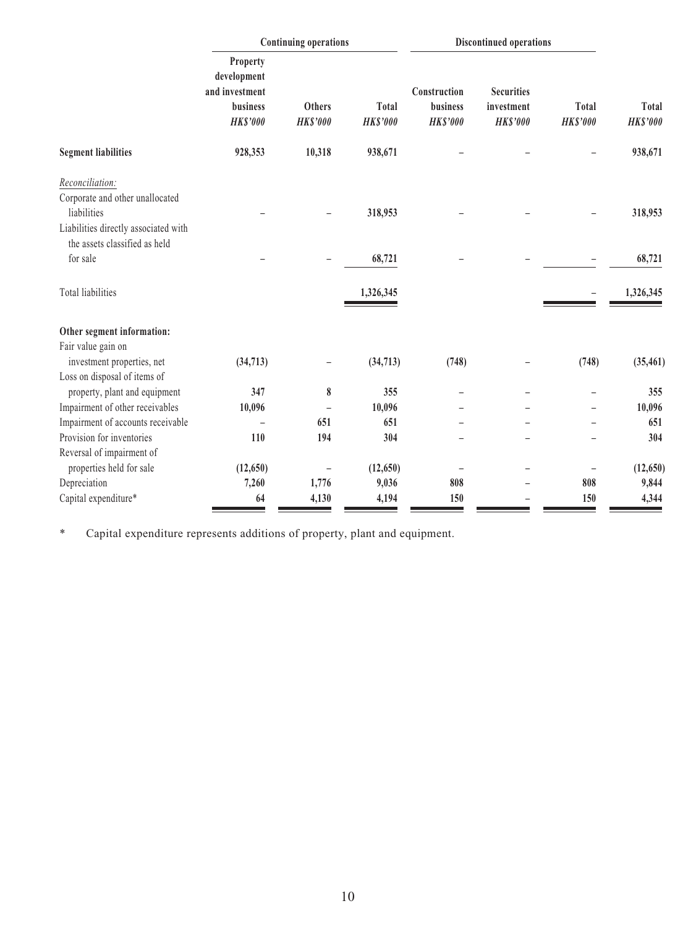|                                                                                                                                            | <b>Continuing operations</b>                                             |                                  |                                 | <b>Discontinued operations</b>              |                                                    |                          |                                 |
|--------------------------------------------------------------------------------------------------------------------------------------------|--------------------------------------------------------------------------|----------------------------------|---------------------------------|---------------------------------------------|----------------------------------------------------|--------------------------|---------------------------------|
|                                                                                                                                            | Property<br>development<br>and investment<br>business<br><b>HK\$'000</b> | <b>Others</b><br><b>HK\$'000</b> | <b>Total</b><br><b>HK\$'000</b> | Construction<br>business<br><b>HK\$'000</b> | <b>Securities</b><br>investment<br><b>HK\$'000</b> | Total<br><b>HK\$'000</b> | <b>Total</b><br><b>HK\$'000</b> |
| <b>Segment liabilities</b>                                                                                                                 | 928,353                                                                  | 10,318                           | 938,671                         |                                             |                                                    |                          | 938,671                         |
| Reconciliation:<br>Corporate and other unallocated<br>liabilities<br>Liabilities directly associated with<br>the assets classified as held |                                                                          |                                  | 318,953                         |                                             |                                                    |                          | 318,953                         |
| for sale                                                                                                                                   |                                                                          |                                  | 68,721                          |                                             |                                                    |                          | 68,721                          |
| <b>Total liabilities</b>                                                                                                                   |                                                                          |                                  | 1,326,345                       |                                             |                                                    |                          | 1,326,345                       |
| Other segment information:                                                                                                                 |                                                                          |                                  |                                 |                                             |                                                    |                          |                                 |
| Fair value gain on<br>investment properties, net<br>Loss on disposal of items of                                                           | (34, 713)                                                                |                                  | (34, 713)                       | (748)                                       |                                                    | (748)                    | (35, 461)                       |
| property, plant and equipment                                                                                                              | 347                                                                      | 8                                | 355                             |                                             |                                                    |                          | 355                             |
| Impairment of other receivables                                                                                                            | 10,096                                                                   |                                  | 10,096                          |                                             |                                                    |                          | 10,096                          |
| Impairment of accounts receivable                                                                                                          |                                                                          | 651                              | 651                             |                                             |                                                    |                          | 651                             |
| Provision for inventories                                                                                                                  | 110                                                                      | 194                              | 304                             |                                             |                                                    |                          | 304                             |
| Reversal of impairment of<br>properties held for sale                                                                                      | (12, 650)                                                                |                                  | (12, 650)                       |                                             |                                                    |                          | (12, 650)                       |
| Depreciation                                                                                                                               | 7,260                                                                    | 1,776                            | 9,036                           | 808                                         |                                                    | 808                      | 9,844                           |
| Capital expenditure*                                                                                                                       | 64                                                                       | 4,130                            | 4,194                           | 150                                         |                                                    | 150                      | 4,344                           |

\* Capital expenditure represents additions of property, plant and equipment.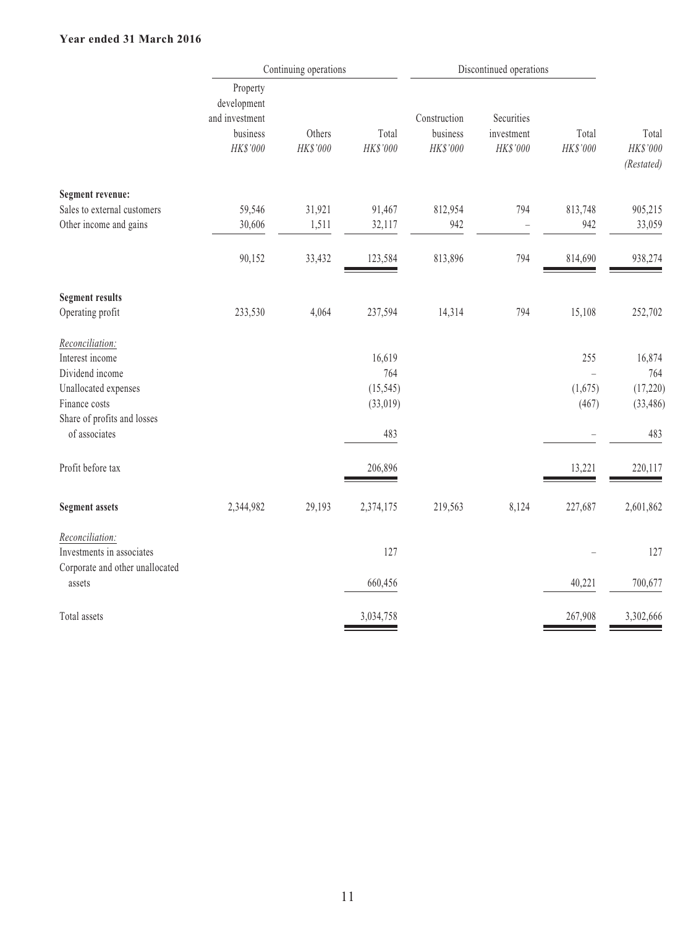#### **Year ended 31 March 2016**

| Total<br>Total<br>HK\$'000<br>HK\$'000<br>(Restated) |
|------------------------------------------------------|
|                                                      |
| 813,748<br>905,215                                   |
| 942<br>33,059                                        |
| 938,274<br>814,690                                   |
|                                                      |
| 15,108<br>252,702                                    |
|                                                      |
| 255<br>16,874                                        |
| 764                                                  |
| (1,675)<br>(17,220)                                  |
| (467)<br>(33, 486)                                   |
| 483                                                  |
| 220,117<br>13,221                                    |
| 227,687<br>2,601,862                                 |
| 127                                                  |
|                                                      |
| 40,221<br>700,677                                    |
| 3,302,666<br>267,908                                 |
|                                                      |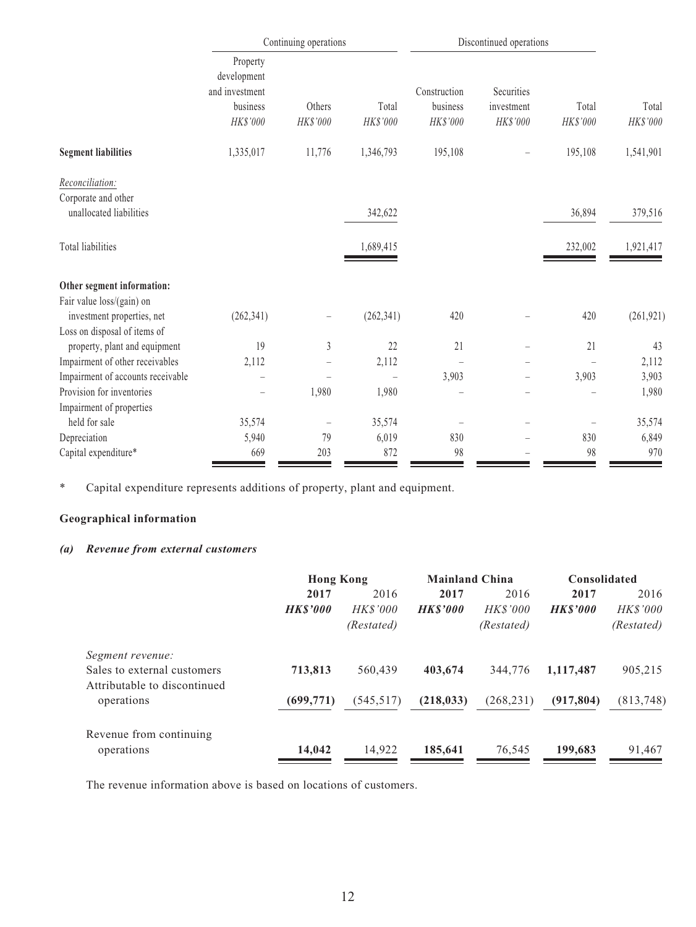|                                                | Continuing operations                                 |                          |            | Discontinued operations  |                          |          |            |
|------------------------------------------------|-------------------------------------------------------|--------------------------|------------|--------------------------|--------------------------|----------|------------|
|                                                | Property<br>development<br>and investment<br>business | Others                   | Total      | Construction<br>business | Securities<br>investment | Total    | Total      |
|                                                | HK\$'000                                              | HK\$'000                 | HK\$'000   | HK\$'000                 | HK\$'000                 | HK\$'000 | HK\$'000   |
| <b>Segment liabilities</b>                     | 1,335,017                                             | 11,776                   | 1,346,793  | 195,108                  |                          | 195,108  | 1,541,901  |
| Reconciliation:                                |                                                       |                          |            |                          |                          |          |            |
| Corporate and other<br>unallocated liabilities |                                                       |                          | 342,622    |                          |                          | 36,894   | 379,516    |
| Total liabilities                              |                                                       |                          | 1,689,415  |                          |                          | 232,002  | 1,921,417  |
| Other segment information:                     |                                                       |                          |            |                          |                          |          |            |
| Fair value loss/(gain) on                      |                                                       |                          |            |                          |                          |          |            |
| investment properties, net                     | (262, 341)                                            | $\overline{\phantom{0}}$ | (262, 341) | 420                      |                          | 420      | (261, 921) |
| Loss on disposal of items of                   |                                                       |                          |            |                          |                          |          |            |
| property, plant and equipment                  | 19                                                    | $\mathfrak{Z}$           | 22         | 21                       |                          | 21       | 43         |
| Impairment of other receivables                | 2,112                                                 |                          | 2,112      |                          |                          |          | 2,112      |
| Impairment of accounts receivable              |                                                       |                          |            | 3,903                    |                          | 3,903    | 3,903      |
| Provision for inventories                      |                                                       | 1,980                    | 1,980      |                          |                          |          | 1,980      |
| Impairment of properties                       |                                                       |                          |            |                          |                          |          |            |
| held for sale                                  | 35,574                                                | $\qquad \qquad -$        | 35,574     |                          |                          |          | 35,574     |
| Depreciation                                   | 5,940                                                 | 79                       | 6,019      | 830                      |                          | 830      | 6,849      |
| Capital expenditure*                           | 669                                                   | 203                      | 872        | 98                       |                          | 98       | 970        |

\* Capital expenditure represents additions of property, plant and equipment.

## **Geographical information**

#### *(a) Revenue from external customers*

|                              |                | <b>Hong Kong</b> |                | <b>Mainland China</b> |                | Consolidated    |  |
|------------------------------|----------------|------------------|----------------|-----------------------|----------------|-----------------|--|
|                              | 2017           | 2016             | 2017           | 2016                  | 2017           | 2016            |  |
|                              | <b>HKS'000</b> | <b>HK\$'000</b>  | <b>HKS'000</b> | <b>HK\$'000</b>       | <b>HKS'000</b> | <i>HK\$'000</i> |  |
|                              |                | (Restated)       |                | (Restated)            |                | (Restated)      |  |
| Segment revenue:             |                |                  |                |                       |                |                 |  |
| Sales to external customers  | 713,813        | 560,439          | 403,674        | 344,776               | 1,117,487      | 905,215         |  |
| Attributable to discontinued |                |                  |                |                       |                |                 |  |
| operations                   | (699, 771)     | (545, 517)       | (218, 033)     | (268, 231)            | (917, 804)     | (813,748)       |  |
| Revenue from continuing      |                |                  |                |                       |                |                 |  |
| operations                   | 14,042         | 14,922           | 185,641        | 76,545                | 199,683        | 91,467          |  |
|                              |                |                  |                |                       |                |                 |  |

The revenue information above is based on locations of customers.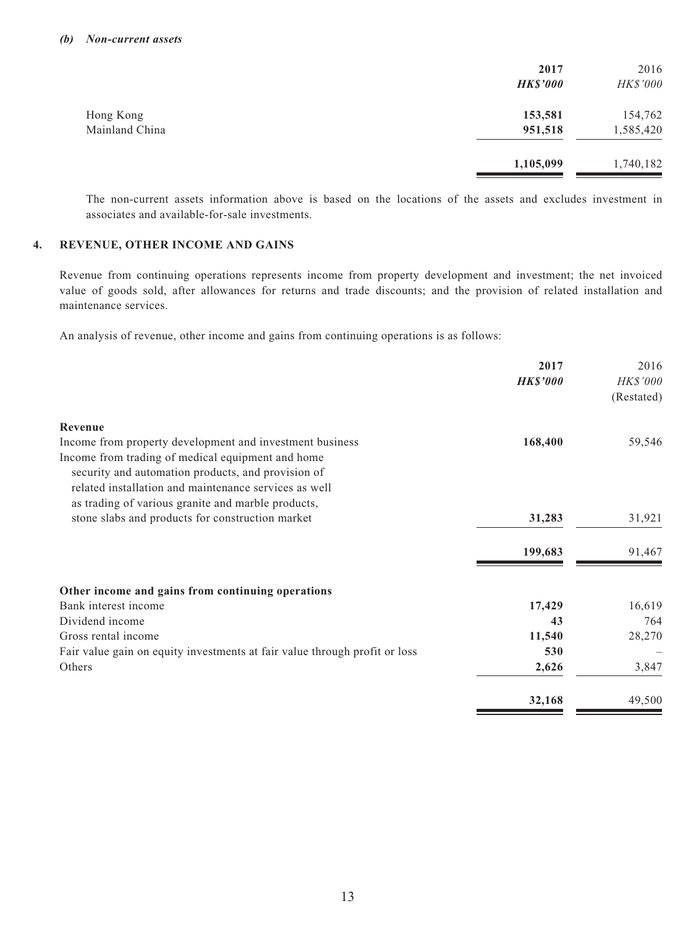|                | 2017            | 2016      |
|----------------|-----------------|-----------|
|                | <b>HK\$'000</b> | HK\$'000  |
| Hong Kong      | 153,581         | 154,762   |
| Mainland China | 951,518         | 1,585,420 |
|                | 1,105,099       | 1,740,182 |

The non-current assets information above is based on the locations of the assets and excludes investment in associates and available-for-sale investments.

#### **4. REVENUE, OTHER INCOME AND GAINS**

Revenue from continuing operations represents income from property development and investment; the net invoiced value of goods sold, after allowances for returns and trade discounts; and the provision of related installation and maintenance services.

An analysis of revenue, other income and gains from continuing operations is as follows:

|                                                                            | 2017            | 2016       |
|----------------------------------------------------------------------------|-----------------|------------|
|                                                                            | <b>HK\$'000</b> | HK\$'000   |
|                                                                            |                 | (Restated) |
| Revenue                                                                    |                 |            |
| Income from property development and investment business                   | 168,400         | 59,546     |
| Income from trading of medical equipment and home                          |                 |            |
| security and automation products, and provision of                         |                 |            |
| related installation and maintenance services as well                      |                 |            |
| as trading of various granite and marble products,                         |                 |            |
| stone slabs and products for construction market                           | 31,283          | 31,921     |
|                                                                            | 199,683         | 91,467     |
| Other income and gains from continuing operations                          |                 |            |
| Bank interest income                                                       | 17,429          | 16,619     |
| Dividend income                                                            | 43              | 764        |
| Gross rental income                                                        | 11,540          | 28,270     |
| Fair value gain on equity investments at fair value through profit or loss | 530             |            |
| Others                                                                     | 2,626           | 3,847      |
|                                                                            | 32,168          | 49,500     |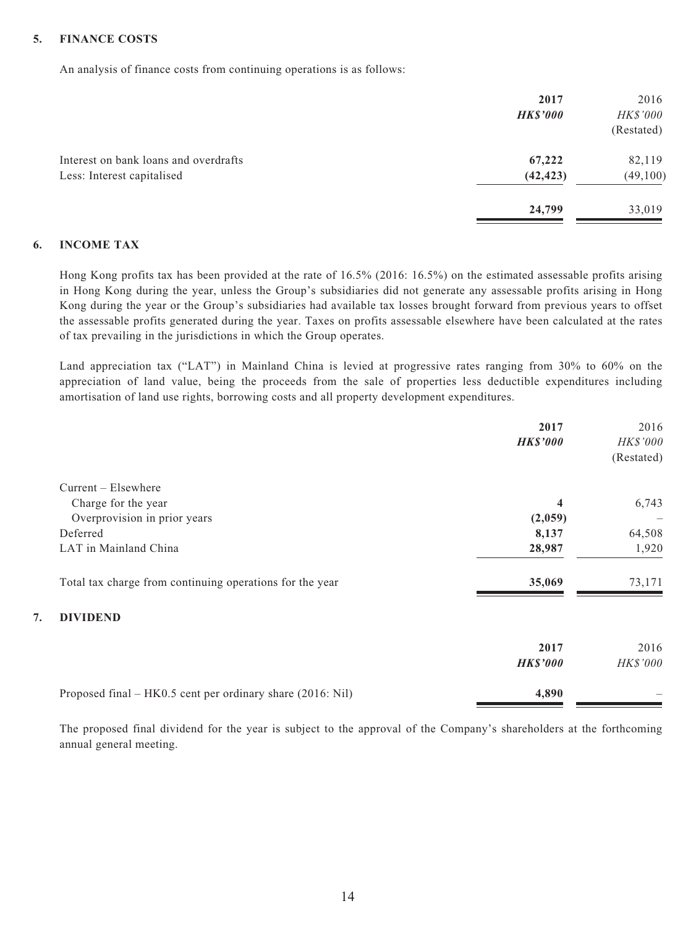#### **5. FINANCE COSTS**

An analysis of finance costs from continuing operations is as follows:

|                                       | 2017            | 2016       |
|---------------------------------------|-----------------|------------|
|                                       | <b>HK\$'000</b> | HK\$'000   |
|                                       |                 | (Restated) |
| Interest on bank loans and overdrafts | 67,222          | 82,119     |
| Less: Interest capitalised            | (42, 423)       | (49, 100)  |
|                                       | 24,799          | 33,019     |

#### **6. INCOME TAX**

Hong Kong profits tax has been provided at the rate of 16.5% (2016: 16.5%) on the estimated assessable profits arising in Hong Kong during the year, unless the Group's subsidiaries did not generate any assessable profits arising in Hong Kong during the year or the Group's subsidiaries had available tax losses brought forward from previous years to offset the assessable profits generated during the year. Taxes on profits assessable elsewhere have been calculated at the rates of tax prevailing in the jurisdictions in which the Group operates.

Land appreciation tax ("LAT") in Mainland China is levied at progressive rates ranging from 30% to 60% on the appreciation of land value, being the proceeds from the sale of properties less deductible expenditures including amortisation of land use rights, borrowing costs and all property development expenditures.

|                                                            | 2017<br><b>HK\$'000</b> | 2016<br>HK\$'000<br>(Restated) |
|------------------------------------------------------------|-------------------------|--------------------------------|
| $Current - Elsewhere$                                      |                         |                                |
| Charge for the year                                        | 4                       | 6,743                          |
| Overprovision in prior years                               | (2,059)                 |                                |
| Deferred                                                   | 8,137                   | 64,508                         |
| LAT in Mainland China                                      | 28,987                  | 1,920                          |
| Total tax charge from continuing operations for the year   | 35,069                  | 73,171                         |
| <b>DIVIDEND</b><br>7.                                      |                         |                                |
|                                                            | 2017                    | 2016                           |
|                                                            | <b>HK\$'000</b>         | <b>HK\$'000</b>                |
| Proposed final – HK0.5 cent per ordinary share (2016: Nil) | 4,890                   |                                |

The proposed final dividend for the year is subject to the approval of the Company's shareholders at the forthcoming annual general meeting.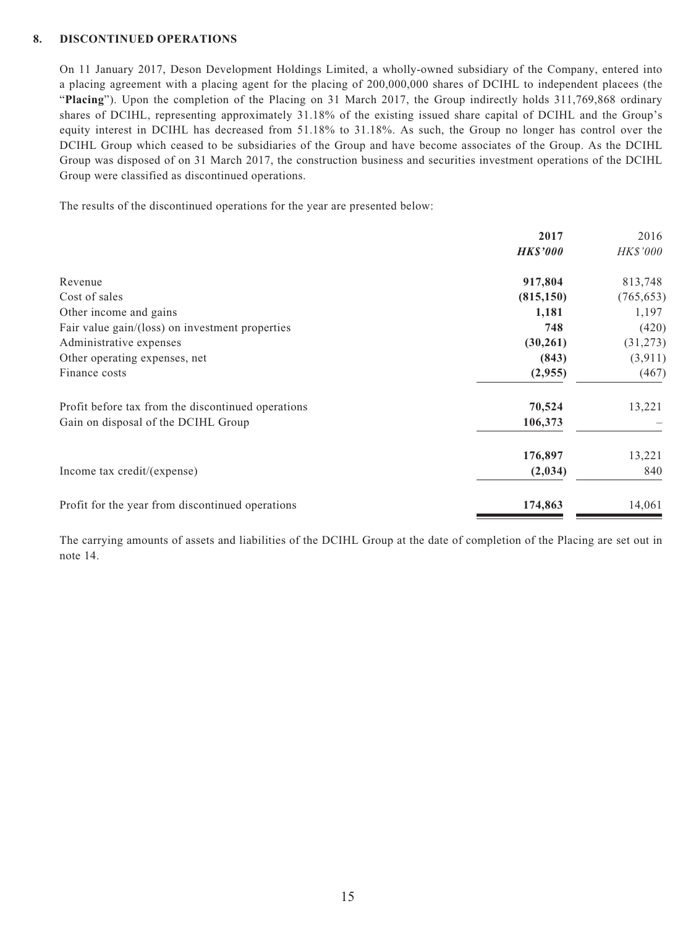#### **8. DISCONTINUED OPERATIONS**

On 11 January 2017, Deson Development Holdings Limited, a wholly-owned subsidiary of the Company, entered into a placing agreement with a placing agent for the placing of 200,000,000 shares of DCIHL to independent placees (the "**Placing**"). Upon the completion of the Placing on 31 March 2017, the Group indirectly holds 311,769,868 ordinary shares of DCIHL, representing approximately 31.18% of the existing issued share capital of DCIHL and the Group's equity interest in DCIHL has decreased from 51.18% to 31.18%. As such, the Group no longer has control over the DCIHL Group which ceased to be subsidiaries of the Group and have become associates of the Group. As the DCIHL Group was disposed of on 31 March 2017, the construction business and securities investment operations of the DCIHL Group were classified as discontinued operations.

The results of the discontinued operations for the year are presented below:

|                                                    | 2017            | 2016            |
|----------------------------------------------------|-----------------|-----------------|
|                                                    | <b>HK\$'000</b> | <i>HK\$'000</i> |
| Revenue                                            | 917,804         | 813,748         |
| Cost of sales                                      | (815, 150)      | (765, 653)      |
| Other income and gains                             | 1,181           | 1,197           |
| Fair value gain/(loss) on investment properties    | 748             | (420)           |
| Administrative expenses                            | (30,261)        | (31, 273)       |
| Other operating expenses, net                      | (843)           | (3,911)         |
| Finance costs                                      | (2,955)         | (467)           |
| Profit before tax from the discontinued operations | 70,524          | 13,221          |
| Gain on disposal of the DCIHL Group                | 106,373         |                 |
|                                                    | 176,897         | 13,221          |
| Income tax credit/(expense)                        | (2,034)         | 840             |
| Profit for the year from discontinued operations   | 174,863         | 14,061          |
|                                                    |                 |                 |

The carrying amounts of assets and liabilities of the DCIHL Group at the date of completion of the Placing are set out in note 14.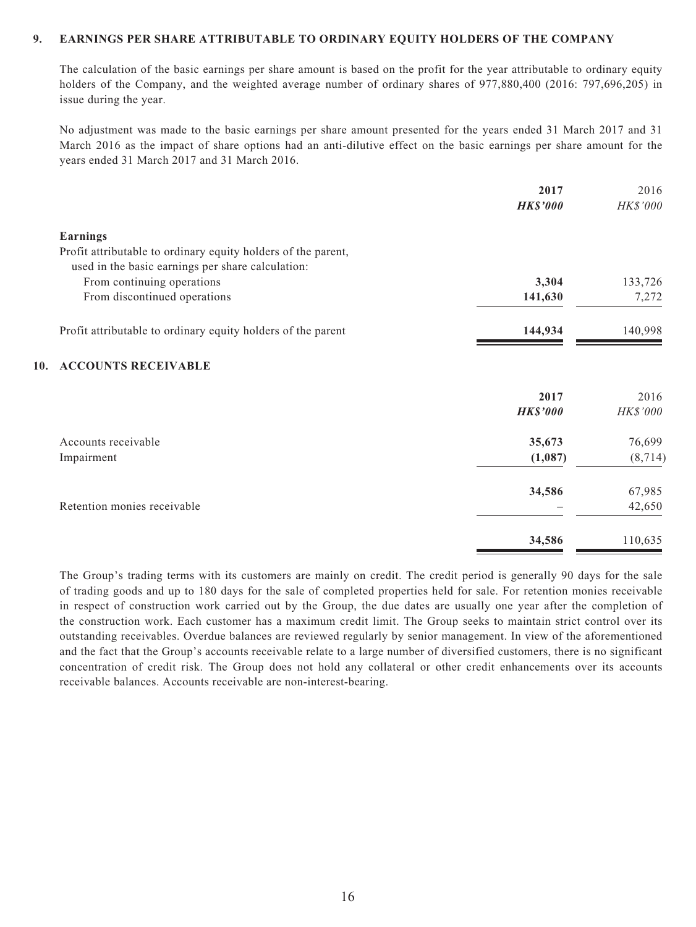#### **9. EARNINGS PER SHARE ATTRIBUTABLE TO ORDINARY EQUITY HOLDERS OF THE COMPANY**

The calculation of the basic earnings per share amount is based on the profit for the year attributable to ordinary equity holders of the Company, and the weighted average number of ordinary shares of 977,880,400 (2016: 797,696,205) in issue during the year.

No adjustment was made to the basic earnings per share amount presented for the years ended 31 March 2017 and 31 March 2016 as the impact of share options had an anti-dilutive effect on the basic earnings per share amount for the years ended 31 March 2017 and 31 March 2016.

|     |                                                                                                                    | 2017<br><b>HK\$'000</b> | 2016<br>HK\$'000 |
|-----|--------------------------------------------------------------------------------------------------------------------|-------------------------|------------------|
|     | Earnings                                                                                                           |                         |                  |
|     | Profit attributable to ordinary equity holders of the parent,<br>used in the basic earnings per share calculation: |                         |                  |
|     | From continuing operations                                                                                         | 3,304                   | 133,726          |
|     | From discontinued operations                                                                                       | 141,630                 | 7,272            |
|     | Profit attributable to ordinary equity holders of the parent                                                       | 144,934                 | 140,998          |
| 10. | <b>ACCOUNTS RECEIVABLE</b>                                                                                         |                         |                  |
|     |                                                                                                                    | 2017                    | 2016             |
|     |                                                                                                                    | <b>HK\$'000</b>         | HK\$'000         |
|     | Accounts receivable                                                                                                | 35,673                  | 76,699           |
|     | Impairment                                                                                                         | (1,087)                 | (8, 714)         |
|     |                                                                                                                    | 34,586                  | 67,985           |
|     | Retention monies receivable                                                                                        |                         | 42,650           |
|     |                                                                                                                    | 34,586                  | 110,635          |

The Group's trading terms with its customers are mainly on credit. The credit period is generally 90 days for the sale of trading goods and up to 180 days for the sale of completed properties held for sale. For retention monies receivable in respect of construction work carried out by the Group, the due dates are usually one year after the completion of the construction work. Each customer has a maximum credit limit. The Group seeks to maintain strict control over its outstanding receivables. Overdue balances are reviewed regularly by senior management. In view of the aforementioned and the fact that the Group's accounts receivable relate to a large number of diversified customers, there is no significant concentration of credit risk. The Group does not hold any collateral or other credit enhancements over its accounts receivable balances. Accounts receivable are non-interest-bearing.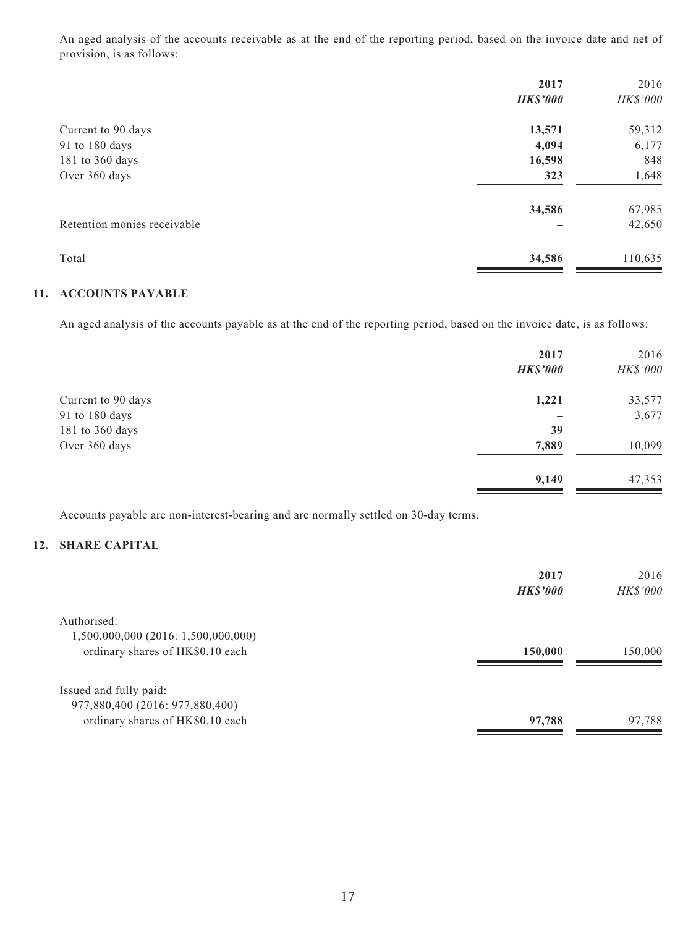An aged analysis of the accounts receivable as at the end of the reporting period, based on the invoice date and net of provision, is as follows:

|                             | 2017            | 2016     |
|-----------------------------|-----------------|----------|
|                             | <b>HK\$'000</b> | HK\$'000 |
| Current to 90 days          | 13,571          | 59,312   |
| 91 to 180 days              | 4,094           | 6,177    |
| 181 to 360 days             | 16,598          | 848      |
| Over 360 days               | 323             | 1,648    |
|                             | 34,586          | 67,985   |
| Retention monies receivable |                 | 42,650   |
| Total                       | 34,586          | 110,635  |

#### **11. ACCOUNTS PAYABLE**

An aged analysis of the accounts payable as at the end of the reporting period, based on the invoice date, is as follows:

|                    | 2017<br><b>HK\$'000</b> | 2016<br>HK\$'000 |
|--------------------|-------------------------|------------------|
| Current to 90 days | 1,221                   | 33,577           |
| 91 to 180 days     |                         | 3,677            |
| 181 to 360 days    | 39                      |                  |
| Over 360 days      | 7,889                   | 10,099           |
|                    | 9,149                   | 47,353           |

Accounts payable are non-interest-bearing and are normally settled on 30-day terms.

#### **12. SHARE CAPITAL**

|                                     | 2017<br><b>HK\$'000</b> | 2016<br><b>HK\$'000</b> |
|-------------------------------------|-------------------------|-------------------------|
| Authorised:                         |                         |                         |
| 1,500,000,000 (2016: 1,500,000,000) |                         |                         |
| ordinary shares of HK\$0.10 each    | 150,000                 | 150,000                 |
|                                     |                         |                         |
| Issued and fully paid:              |                         |                         |
| 977,880,400 (2016: 977,880,400)     |                         |                         |
| ordinary shares of HK\$0.10 each    | 97,788                  | 97,788                  |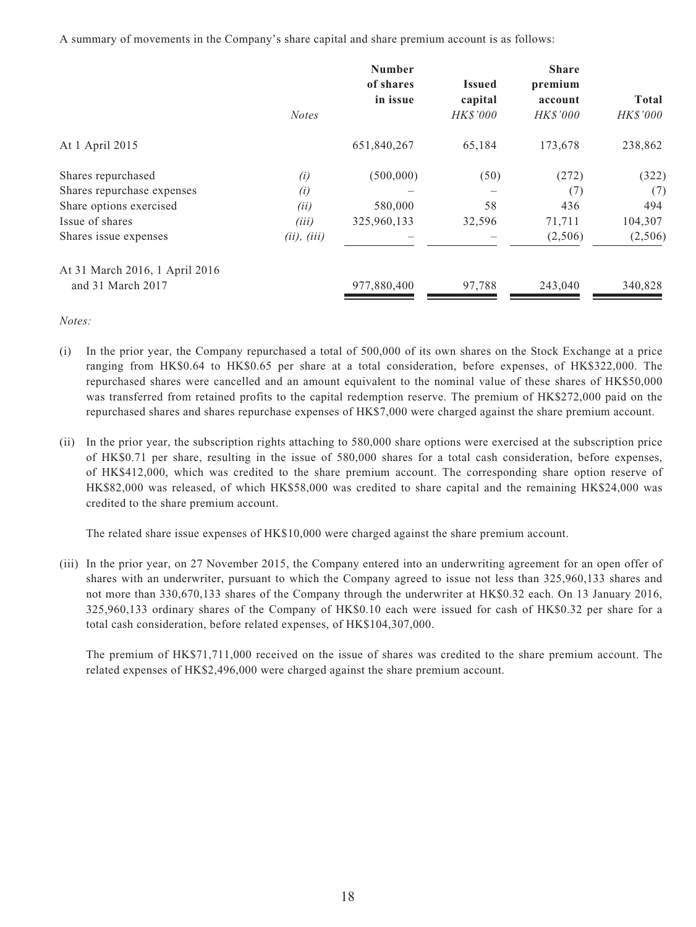A summary of movements in the Company's share capital and share premium account is as follows:

|                                | <b>Notes</b> | <b>Number</b><br>of shares<br>in issue | <b>Issued</b><br>capital<br><b>HK\$'000</b> | <b>Share</b><br>premium<br>account<br>HK\$'000 | <b>Total</b><br>HK\$'000 |
|--------------------------------|--------------|----------------------------------------|---------------------------------------------|------------------------------------------------|--------------------------|
| At 1 April 2015                |              | 651,840,267                            | 65,184                                      | 173,678                                        | 238,862                  |
| Shares repurchased             | (i)          | (500,000)                              | (50)                                        | (272)                                          | (322)                    |
| Shares repurchase expenses     | (i)          |                                        |                                             | (7)                                            | (7)                      |
| Share options exercised        | (ii)         | 580,000                                | 58                                          | 436                                            | 494                      |
| Issue of shares                | (iii)        | 325,960,133                            | 32,596                                      | 71,711                                         | 104,307                  |
| Shares issue expenses          | (ii), (iii)  |                                        |                                             | (2,506)                                        | (2,506)                  |
| At 31 March 2016, 1 April 2016 |              |                                        |                                             |                                                |                          |
| and 31 March 2017              |              | 977,880,400                            | 97,788                                      | 243,040                                        | 340,828                  |

*Notes:*

- (i) In the prior year, the Company repurchased a total of 500,000 of its own shares on the Stock Exchange at a price ranging from HK\$0.64 to HK\$0.65 per share at a total consideration, before expenses, of HK\$322,000. The repurchased shares were cancelled and an amount equivalent to the nominal value of these shares of HK\$50,000 was transferred from retained profits to the capital redemption reserve. The premium of HK\$272,000 paid on the repurchased shares and shares repurchase expenses of HK\$7,000 were charged against the share premium account.
- (ii) In the prior year, the subscription rights attaching to 580,000 share options were exercised at the subscription price of HK\$0.71 per share, resulting in the issue of 580,000 shares for a total cash consideration, before expenses, of HK\$412,000, which was credited to the share premium account. The corresponding share option reserve of HK\$82,000 was released, of which HK\$58,000 was credited to share capital and the remaining HK\$24,000 was credited to the share premium account.

The related share issue expenses of HK\$10,000 were charged against the share premium account.

(iii) In the prior year, on 27 November 2015, the Company entered into an underwriting agreement for an open offer of shares with an underwriter, pursuant to which the Company agreed to issue not less than 325,960,133 shares and not more than 330,670,133 shares of the Company through the underwriter at HK\$0.32 each. On 13 January 2016, 325,960,133 ordinary shares of the Company of HK\$0.10 each were issued for cash of HK\$0.32 per share for a total cash consideration, before related expenses, of HK\$104,307,000.

 The premium of HK\$71,711,000 received on the issue of shares was credited to the share premium account. The related expenses of HK\$2,496,000 were charged against the share premium account.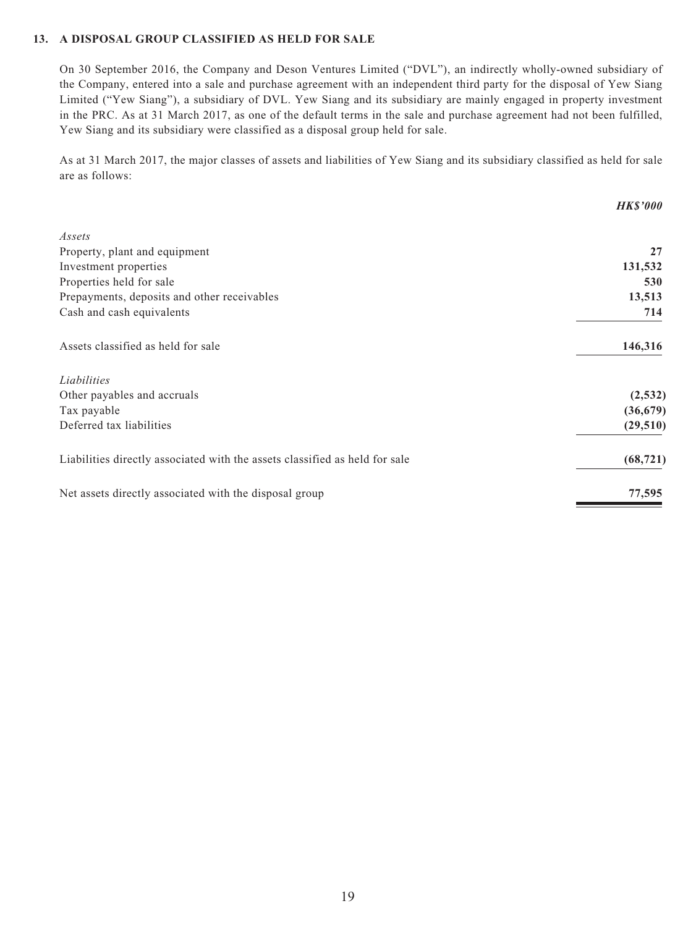#### **13. A DISPOSAL GROUP CLASSIFIED AS HELD FOR SALE**

On 30 September 2016, the Company and Deson Ventures Limited ("DVL"), an indirectly wholly-owned subsidiary of the Company, entered into a sale and purchase agreement with an independent third party for the disposal of Yew Siang Limited ("Yew Siang"), a subsidiary of DVL. Yew Siang and its subsidiary are mainly engaged in property investment in the PRC. As at 31 March 2017, as one of the default terms in the sale and purchase agreement had not been fulfilled, Yew Siang and its subsidiary were classified as a disposal group held for sale.

As at 31 March 2017, the major classes of assets and liabilities of Yew Siang and its subsidiary classified as held for sale are as follows:

|                                                                             | <b>HKS'000</b> |
|-----------------------------------------------------------------------------|----------------|
| Assets                                                                      |                |
| Property, plant and equipment                                               | 27             |
| Investment properties                                                       | 131,532        |
| Properties held for sale                                                    | 530            |
| Prepayments, deposits and other receivables                                 | 13,513         |
| Cash and cash equivalents                                                   | 714            |
| Assets classified as held for sale                                          | 146,316        |
| Liabilities                                                                 |                |
| Other payables and accruals                                                 | (2, 532)       |
| Tax payable                                                                 | (36, 679)      |
| Deferred tax liabilities                                                    | (29, 510)      |
| Liabilities directly associated with the assets classified as held for sale | (68, 721)      |
| Net assets directly associated with the disposal group                      | 77,595         |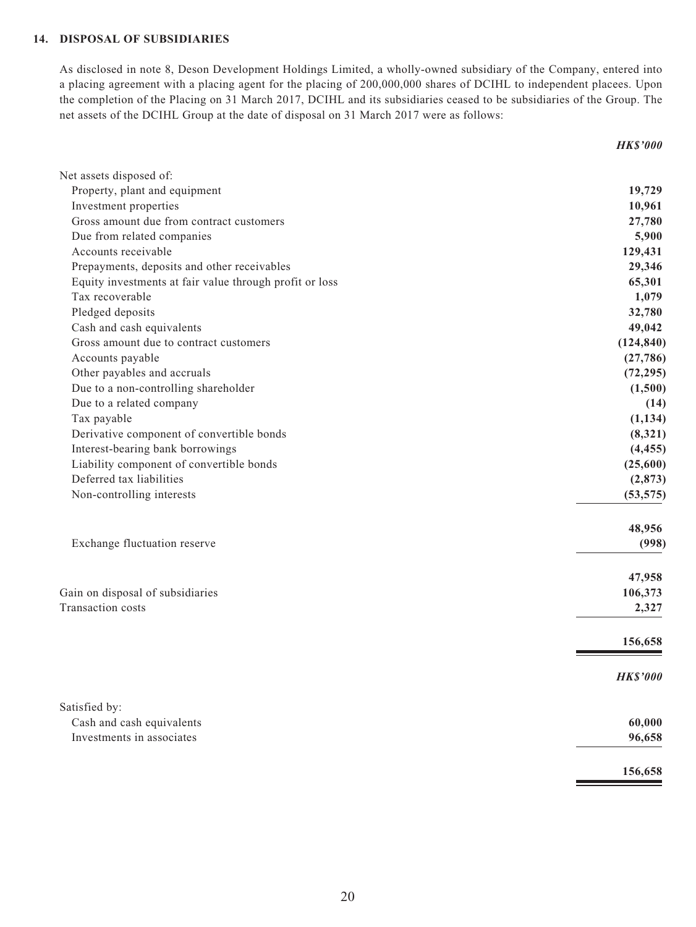#### **14. DISPOSAL OF SUBSIDIARIES**

As disclosed in note 8, Deson Development Holdings Limited, a wholly-owned subsidiary of the Company, entered into a placing agreement with a placing agent for the placing of 200,000,000 shares of DCIHL to independent placees. Upon the completion of the Placing on 31 March 2017, DCIHL and its subsidiaries ceased to be subsidiaries of the Group. The net assets of the DCIHL Group at the date of disposal on 31 March 2017 were as follows:

*HK\$'000*

| Net assets disposed of:                                 |                 |
|---------------------------------------------------------|-----------------|
| Property, plant and equipment                           | 19,729          |
| Investment properties                                   | 10,961          |
| Gross amount due from contract customers                | 27,780          |
| Due from related companies                              | 5,900           |
| Accounts receivable                                     | 129,431         |
| Prepayments, deposits and other receivables             | 29,346          |
| Equity investments at fair value through profit or loss | 65,301          |
| Tax recoverable                                         | 1,079           |
| Pledged deposits                                        | 32,780          |
| Cash and cash equivalents                               | 49,042          |
| Gross amount due to contract customers                  | (124, 840)      |
| Accounts payable                                        | (27, 786)       |
| Other payables and accruals                             | (72, 295)       |
| Due to a non-controlling shareholder                    | (1,500)         |
| Due to a related company                                | (14)            |
| Tax payable                                             | (1, 134)        |
| Derivative component of convertible bonds               | (8,321)         |
| Interest-bearing bank borrowings                        | (4, 455)        |
| Liability component of convertible bonds                | (25,600)        |
| Deferred tax liabilities                                | (2,873)         |
| Non-controlling interests                               | (53, 575)       |
|                                                         | 48,956          |
| Exchange fluctuation reserve                            | (998)           |
|                                                         | 47,958          |
| Gain on disposal of subsidiaries                        | 106,373         |
| Transaction costs                                       | 2,327           |
|                                                         | 156,658         |
|                                                         | <b>HK\$'000</b> |
| Satisfied by:                                           |                 |
| Cash and cash equivalents                               | 60,000          |
| Investments in associates                               | 96,658          |
|                                                         | 156,658         |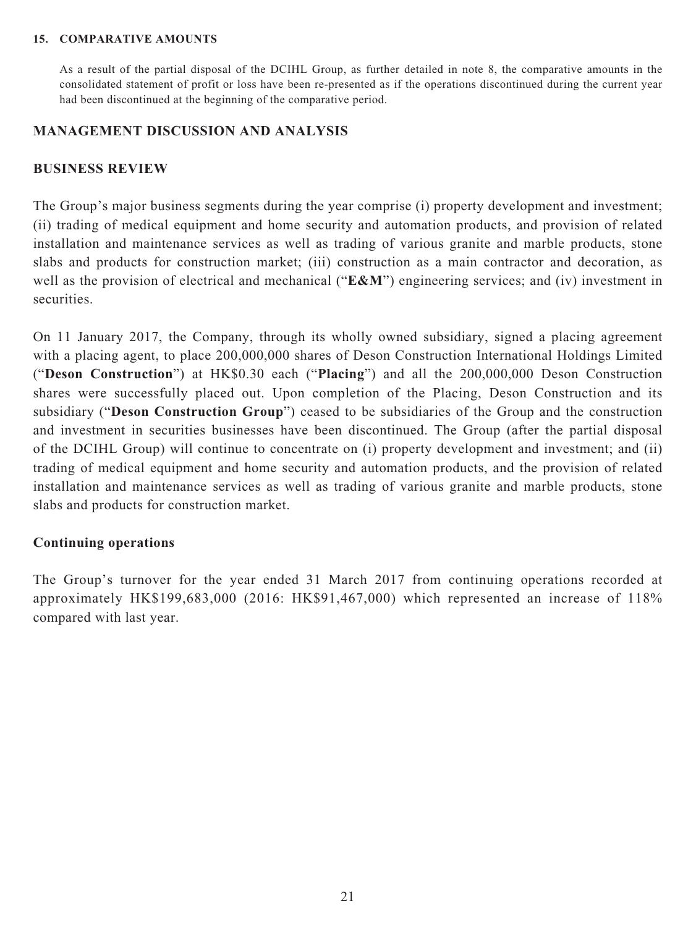#### **15. COMPARATIVE AMOUNTS**

As a result of the partial disposal of the DCIHL Group, as further detailed in note 8, the comparative amounts in the consolidated statement of profit or loss have been re-presented as if the operations discontinued during the current year had been discontinued at the beginning of the comparative period.

#### **MANAGEMENT DISCUSSION AND ANALYSIS**

#### **BUSINESS REVIEW**

The Group's major business segments during the year comprise (i) property development and investment; (ii) trading of medical equipment and home security and automation products, and provision of related installation and maintenance services as well as trading of various granite and marble products, stone slabs and products for construction market; (iii) construction as a main contractor and decoration, as well as the provision of electrical and mechanical ("**E&M**") engineering services; and (iv) investment in securities.

On 11 January 2017, the Company, through its wholly owned subsidiary, signed a placing agreement with a placing agent, to place 200,000,000 shares of Deson Construction International Holdings Limited ("**Deson Construction**") at HK\$0.30 each ("**Placing**") and all the 200,000,000 Deson Construction shares were successfully placed out. Upon completion of the Placing, Deson Construction and its subsidiary ("**Deson Construction Group**") ceased to be subsidiaries of the Group and the construction and investment in securities businesses have been discontinued. The Group (after the partial disposal of the DCIHL Group) will continue to concentrate on (i) property development and investment; and (ii) trading of medical equipment and home security and automation products, and the provision of related installation and maintenance services as well as trading of various granite and marble products, stone slabs and products for construction market.

#### **Continuing operations**

The Group's turnover for the year ended 31 March 2017 from continuing operations recorded at approximately HK\$199,683,000 (2016: HK\$91,467,000) which represented an increase of 118% compared with last year.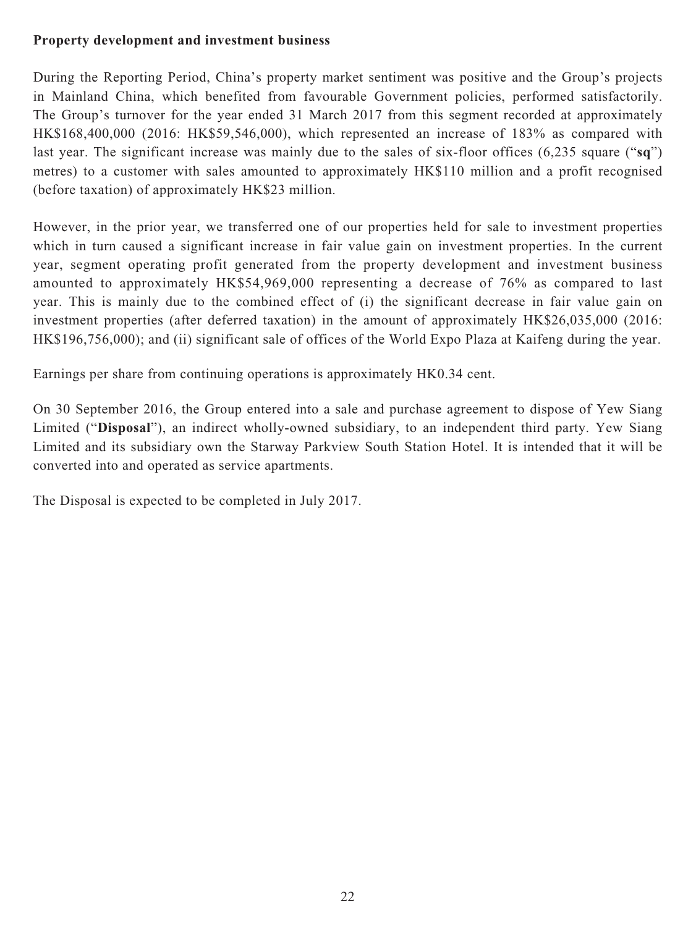## **Property development and investment business**

During the Reporting Period, China's property market sentiment was positive and the Group's projects in Mainland China, which benefited from favourable Government policies, performed satisfactorily. The Group's turnover for the year ended 31 March 2017 from this segment recorded at approximately HK\$168,400,000 (2016: HK\$59,546,000), which represented an increase of 183% as compared with last year. The significant increase was mainly due to the sales of six-floor offices (6,235 square ("**sq**") metres) to a customer with sales amounted to approximately HK\$110 million and a profit recognised (before taxation) of approximately HK\$23 million.

However, in the prior year, we transferred one of our properties held for sale to investment properties which in turn caused a significant increase in fair value gain on investment properties. In the current year, segment operating profit generated from the property development and investment business amounted to approximately HK\$54,969,000 representing a decrease of 76% as compared to last year. This is mainly due to the combined effect of (i) the significant decrease in fair value gain on investment properties (after deferred taxation) in the amount of approximately HK\$26,035,000 (2016: HK\$196,756,000); and (ii) significant sale of offices of the World Expo Plaza at Kaifeng during the year.

Earnings per share from continuing operations is approximately HK0.34 cent.

On 30 September 2016, the Group entered into a sale and purchase agreement to dispose of Yew Siang Limited ("**Disposal**"), an indirect wholly-owned subsidiary, to an independent third party. Yew Siang Limited and its subsidiary own the Starway Parkview South Station Hotel. It is intended that it will be converted into and operated as service apartments.

The Disposal is expected to be completed in July 2017.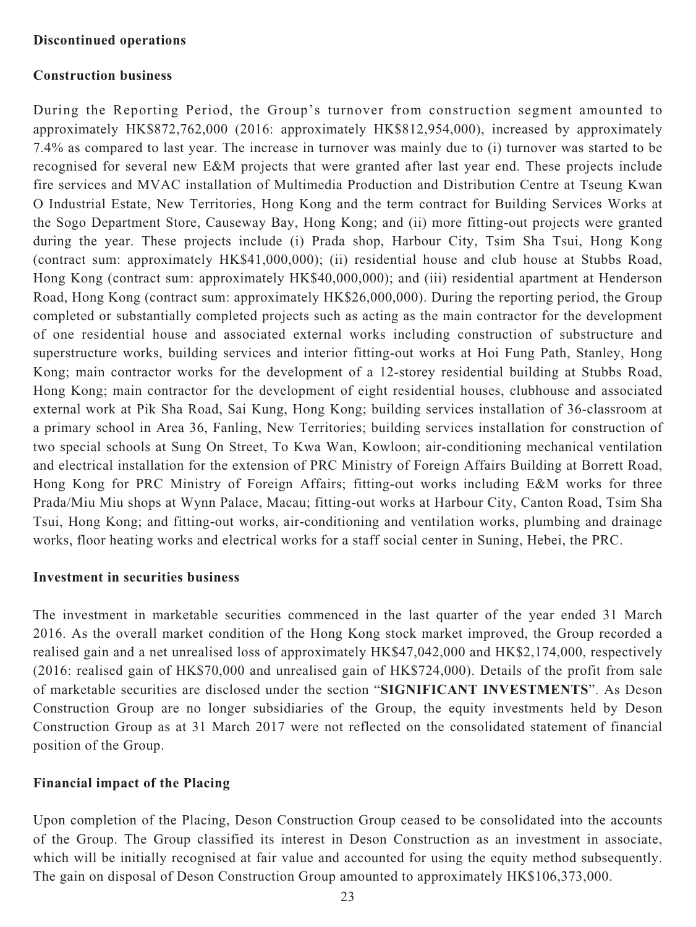#### **Discontinued operations**

#### **Construction business**

During the Reporting Period, the Group's turnover from construction segment amounted to approximately HK\$872,762,000 (2016: approximately HK\$812,954,000), increased by approximately 7.4% as compared to last year. The increase in turnover was mainly due to (i) turnover was started to be recognised for several new E&M projects that were granted after last year end. These projects include fire services and MVAC installation of Multimedia Production and Distribution Centre at Tseung Kwan O Industrial Estate, New Territories, Hong Kong and the term contract for Building Services Works at the Sogo Department Store, Causeway Bay, Hong Kong; and (ii) more fitting-out projects were granted during the year. These projects include (i) Prada shop, Harbour City, Tsim Sha Tsui, Hong Kong (contract sum: approximately HK\$41,000,000); (ii) residential house and club house at Stubbs Road, Hong Kong (contract sum: approximately HK\$40,000,000); and (iii) residential apartment at Henderson Road, Hong Kong (contract sum: approximately HK\$26,000,000). During the reporting period, the Group completed or substantially completed projects such as acting as the main contractor for the development of one residential house and associated external works including construction of substructure and superstructure works, building services and interior fitting-out works at Hoi Fung Path, Stanley, Hong Kong; main contractor works for the development of a 12-storey residential building at Stubbs Road, Hong Kong; main contractor for the development of eight residential houses, clubhouse and associated external work at Pik Sha Road, Sai Kung, Hong Kong; building services installation of 36-classroom at a primary school in Area 36, Fanling, New Territories; building services installation for construction of two special schools at Sung On Street, To Kwa Wan, Kowloon; air-conditioning mechanical ventilation and electrical installation for the extension of PRC Ministry of Foreign Affairs Building at Borrett Road, Hong Kong for PRC Ministry of Foreign Affairs; fitting-out works including E&M works for three Prada/Miu Miu shops at Wynn Palace, Macau; fitting-out works at Harbour City, Canton Road, Tsim Sha Tsui, Hong Kong; and fitting-out works, air-conditioning and ventilation works, plumbing and drainage works, floor heating works and electrical works for a staff social center in Suning, Hebei, the PRC.

#### **Investment in securities business**

The investment in marketable securities commenced in the last quarter of the year ended 31 March 2016. As the overall market condition of the Hong Kong stock market improved, the Group recorded a realised gain and a net unrealised loss of approximately HK\$47,042,000 and HK\$2,174,000, respectively (2016: realised gain of HK\$70,000 and unrealised gain of HK\$724,000). Details of the profit from sale of marketable securities are disclosed under the section "**SIGNIFICANT INVESTMENTS**". As Deson Construction Group are no longer subsidiaries of the Group, the equity investments held by Deson Construction Group as at 31 March 2017 were not reflected on the consolidated statement of financial position of the Group.

### **Financial impact of the Placing**

Upon completion of the Placing, Deson Construction Group ceased to be consolidated into the accounts of the Group. The Group classified its interest in Deson Construction as an investment in associate, which will be initially recognised at fair value and accounted for using the equity method subsequently. The gain on disposal of Deson Construction Group amounted to approximately HK\$106,373,000.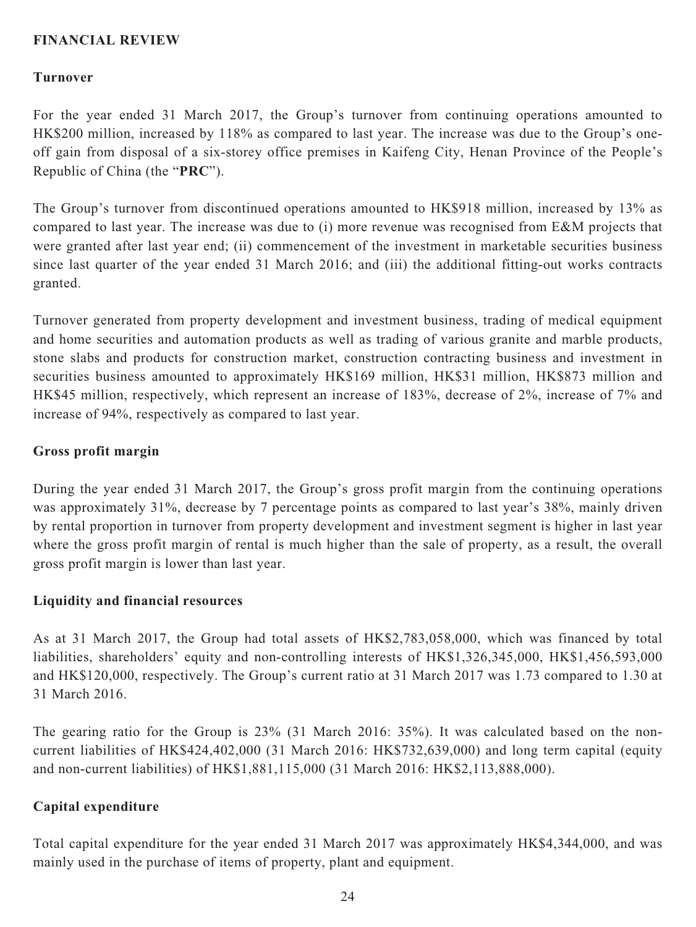## **FINANCIAL REVIEW**

#### **Turnover**

For the year ended 31 March 2017, the Group's turnover from continuing operations amounted to HK\$200 million, increased by 118% as compared to last year. The increase was due to the Group's oneoff gain from disposal of a six-storey office premises in Kaifeng City, Henan Province of the People's Republic of China (the "**PRC**").

The Group's turnover from discontinued operations amounted to HK\$918 million, increased by 13% as compared to last year. The increase was due to (i) more revenue was recognised from E&M projects that were granted after last year end; (ii) commencement of the investment in marketable securities business since last quarter of the year ended 31 March 2016; and (iii) the additional fitting-out works contracts granted.

Turnover generated from property development and investment business, trading of medical equipment and home securities and automation products as well as trading of various granite and marble products, stone slabs and products for construction market, construction contracting business and investment in securities business amounted to approximately HK\$169 million, HK\$31 million, HK\$873 million and HK\$45 million, respectively, which represent an increase of 183%, decrease of 2%, increase of 7% and increase of 94%, respectively as compared to last year.

#### **Gross profit margin**

During the year ended 31 March 2017, the Group's gross profit margin from the continuing operations was approximately 31%, decrease by 7 percentage points as compared to last year's 38%, mainly driven by rental proportion in turnover from property development and investment segment is higher in last year where the gross profit margin of rental is much higher than the sale of property, as a result, the overall gross profit margin is lower than last year.

#### **Liquidity and financial resources**

As at 31 March 2017, the Group had total assets of HK\$2,783,058,000, which was financed by total liabilities, shareholders' equity and non-controlling interests of HK\$1,326,345,000, HK\$1,456,593,000 and HK\$120,000, respectively. The Group's current ratio at 31 March 2017 was 1.73 compared to 1.30 at 31 March 2016.

The gearing ratio for the Group is 23% (31 March 2016: 35%). It was calculated based on the noncurrent liabilities of HK\$424,402,000 (31 March 2016: HK\$732,639,000) and long term capital (equity and non-current liabilities) of HK\$1,881,115,000 (31 March 2016: HK\$2,113,888,000).

#### **Capital expenditure**

Total capital expenditure for the year ended 31 March 2017 was approximately HK\$4,344,000, and was mainly used in the purchase of items of property, plant and equipment.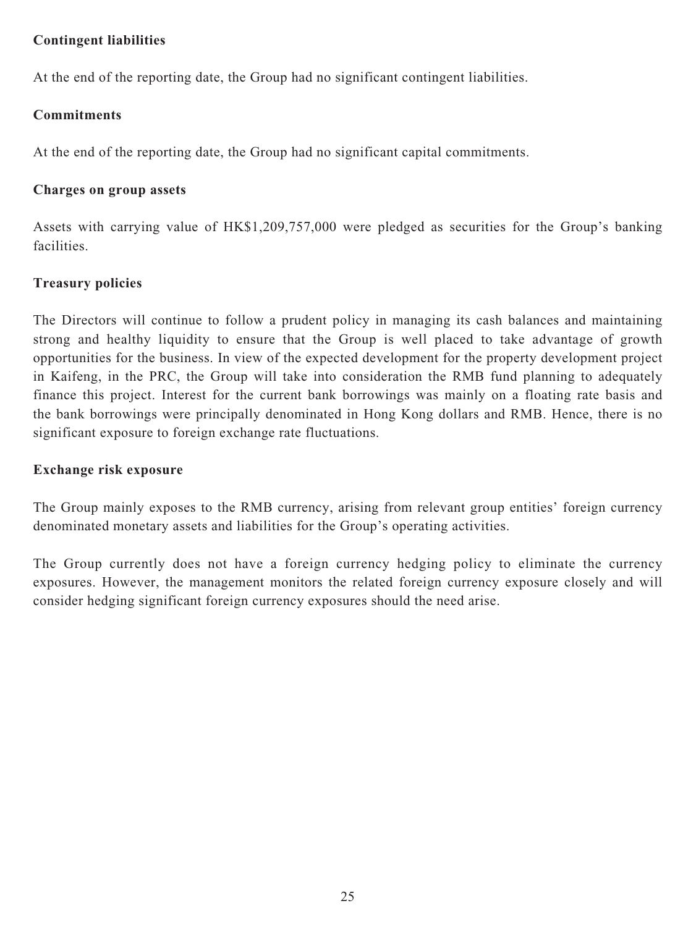## **Contingent liabilities**

At the end of the reporting date, the Group had no significant contingent liabilities.

## **Commitments**

At the end of the reporting date, the Group had no significant capital commitments.

## **Charges on group assets**

Assets with carrying value of HK\$1,209,757,000 were pledged as securities for the Group's banking facilities.

# **Treasury policies**

The Directors will continue to follow a prudent policy in managing its cash balances and maintaining strong and healthy liquidity to ensure that the Group is well placed to take advantage of growth opportunities for the business. In view of the expected development for the property development project in Kaifeng, in the PRC, the Group will take into consideration the RMB fund planning to adequately finance this project. Interest for the current bank borrowings was mainly on a floating rate basis and the bank borrowings were principally denominated in Hong Kong dollars and RMB. Hence, there is no significant exposure to foreign exchange rate fluctuations.

## **Exchange risk exposure**

The Group mainly exposes to the RMB currency, arising from relevant group entities' foreign currency denominated monetary assets and liabilities for the Group's operating activities.

The Group currently does not have a foreign currency hedging policy to eliminate the currency exposures. However, the management monitors the related foreign currency exposure closely and will consider hedging significant foreign currency exposures should the need arise.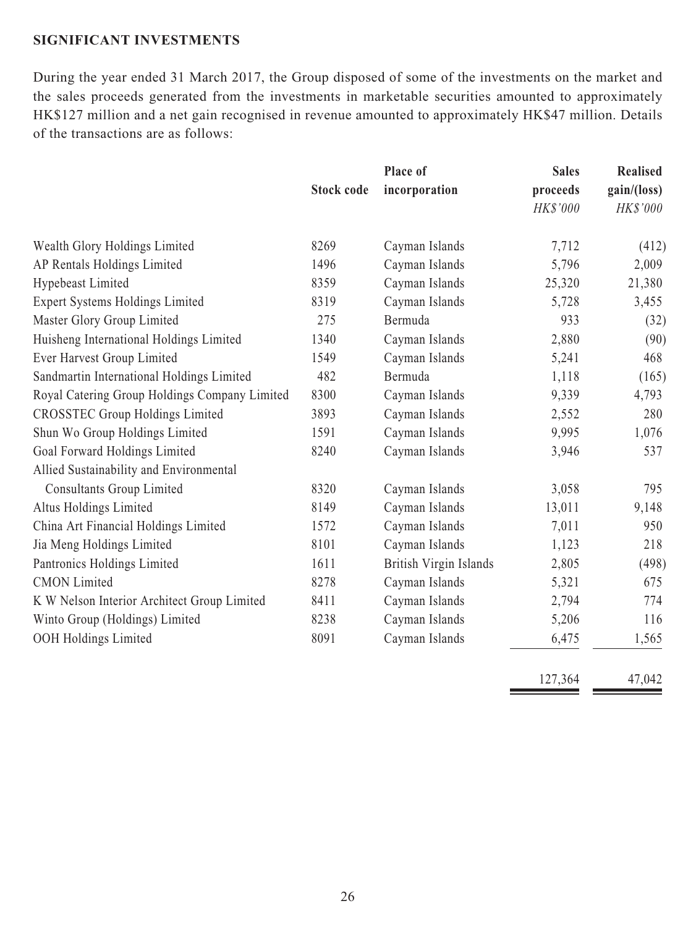## **SIGNIFICANT INVESTMENTS**

During the year ended 31 March 2017, the Group disposed of some of the investments on the market and the sales proceeds generated from the investments in marketable securities amounted to approximately HK\$127 million and a net gain recognised in revenue amounted to approximately HK\$47 million. Details of the transactions are as follows:

|                                               | <b>Stock code</b> | Place of<br>incorporation | <b>Sales</b><br>proceeds | <b>Realised</b><br>gain/(loss) |
|-----------------------------------------------|-------------------|---------------------------|--------------------------|--------------------------------|
|                                               |                   |                           | HK\$'000                 | HK\$'000                       |
| Wealth Glory Holdings Limited                 | 8269              | Cayman Islands            | 7,712                    | (412)                          |
| AP Rentals Holdings Limited                   | 1496              | Cayman Islands            | 5,796                    | 2,009                          |
| Hypebeast Limited                             | 8359              | Cayman Islands            | 25,320                   | 21,380                         |
| <b>Expert Systems Holdings Limited</b>        | 8319              | Cayman Islands            | 5,728                    | 3,455                          |
| Master Glory Group Limited                    | 275               | Bermuda                   | 933                      | (32)                           |
| Huisheng International Holdings Limited       | 1340              | Cayman Islands            | 2,880                    | (90)                           |
| Ever Harvest Group Limited                    | 1549              | Cayman Islands            | 5,241                    | 468                            |
| Sandmartin International Holdings Limited     | 482               | Bermuda                   | 1,118                    | (165)                          |
| Royal Catering Group Holdings Company Limited | 8300              | Cayman Islands            | 9,339                    | 4,793                          |
| <b>CROSSTEC Group Holdings Limited</b>        | 3893              | Cayman Islands            | 2,552                    | 280                            |
| Shun Wo Group Holdings Limited                | 1591              | Cayman Islands            | 9,995                    | 1,076                          |
| Goal Forward Holdings Limited                 | 8240              | Cayman Islands            | 3,946                    | 537                            |
| Allied Sustainability and Environmental       |                   |                           |                          |                                |
| <b>Consultants Group Limited</b>              | 8320              | Cayman Islands            | 3,058                    | 795                            |
| Altus Holdings Limited                        | 8149              | Cayman Islands            | 13,011                   | 9,148                          |
| China Art Financial Holdings Limited          | 1572              | Cayman Islands            | 7,011                    | 950                            |
| Jia Meng Holdings Limited                     | 8101              | Cayman Islands            | 1,123                    | 218                            |
| Pantronics Holdings Limited                   | 1611              | British Virgin Islands    | 2,805                    | (498)                          |
| <b>CMON</b> Limited                           | 8278              | Cayman Islands            | 5,321                    | 675                            |
| K W Nelson Interior Architect Group Limited   | 8411              | Cayman Islands            | 2,794                    | 774                            |
| Winto Group (Holdings) Limited                | 8238              | Cayman Islands            | 5,206                    | 116                            |
| OOH Holdings Limited                          | 8091              | Cayman Islands            | 6,475                    | 1,565                          |

| 127,364 | 47.042 |
|---------|--------|
|         |        |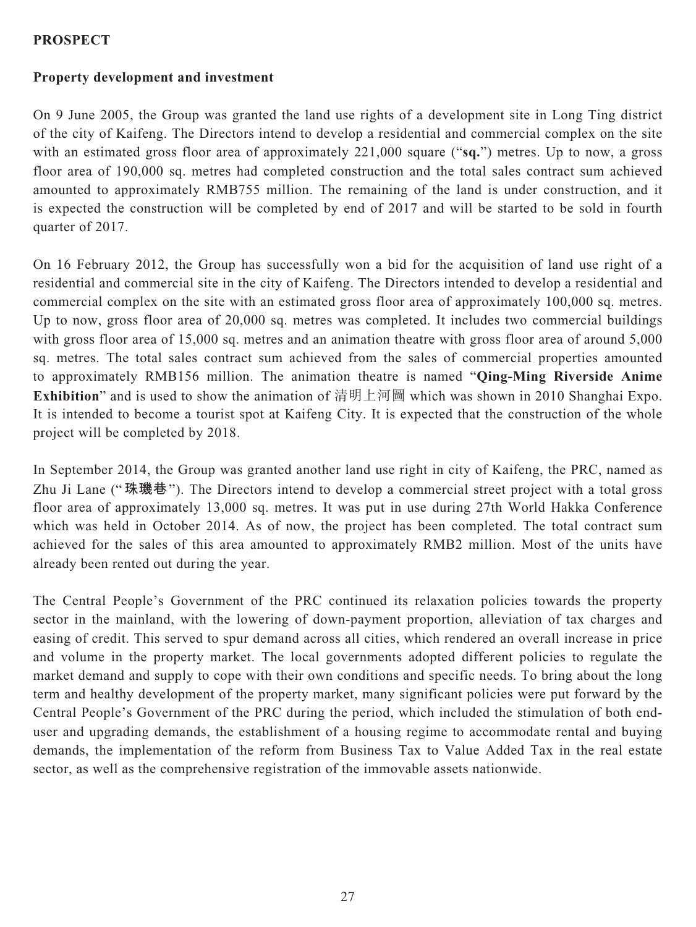## **PROSPECT**

## **Property development and investment**

On 9 June 2005, the Group was granted the land use rights of a development site in Long Ting district of the city of Kaifeng. The Directors intend to develop a residential and commercial complex on the site with an estimated gross floor area of approximately 221,000 square ("**sq.**") metres. Up to now, a gross floor area of 190,000 sq. metres had completed construction and the total sales contract sum achieved amounted to approximately RMB755 million. The remaining of the land is under construction, and it is expected the construction will be completed by end of 2017 and will be started to be sold in fourth quarter of 2017.

On 16 February 2012, the Group has successfully won a bid for the acquisition of land use right of a residential and commercial site in the city of Kaifeng. The Directors intended to develop a residential and commercial complex on the site with an estimated gross floor area of approximately 100,000 sq. metres. Up to now, gross floor area of 20,000 sq. metres was completed. It includes two commercial buildings with gross floor area of 15,000 sq. metres and an animation theatre with gross floor area of around 5,000 sq. metres. The total sales contract sum achieved from the sales of commercial properties amounted to approximately RMB156 million. The animation theatre is named "**Qing-Ming Riverside Anime Exhibition**" and is used to show the animation of 清明上河圖 which was shown in 2010 Shanghai Expo. It is intended to become a tourist spot at Kaifeng City. It is expected that the construction of the whole project will be completed by 2018.

In September 2014, the Group was granted another land use right in city of Kaifeng, the PRC, named as Zhu Ji Lane ("**珠璣巷**"). The Directors intend to develop a commercial street project with a total gross floor area of approximately 13,000 sq. metres. It was put in use during 27th World Hakka Conference which was held in October 2014. As of now, the project has been completed. The total contract sum achieved for the sales of this area amounted to approximately RMB2 million. Most of the units have already been rented out during the year.

The Central People's Government of the PRC continued its relaxation policies towards the property sector in the mainland, with the lowering of down-payment proportion, alleviation of tax charges and easing of credit. This served to spur demand across all cities, which rendered an overall increase in price and volume in the property market. The local governments adopted different policies to regulate the market demand and supply to cope with their own conditions and specific needs. To bring about the long term and healthy development of the property market, many significant policies were put forward by the Central People's Government of the PRC during the period, which included the stimulation of both enduser and upgrading demands, the establishment of a housing regime to accommodate rental and buying demands, the implementation of the reform from Business Tax to Value Added Tax in the real estate sector, as well as the comprehensive registration of the immovable assets nationwide.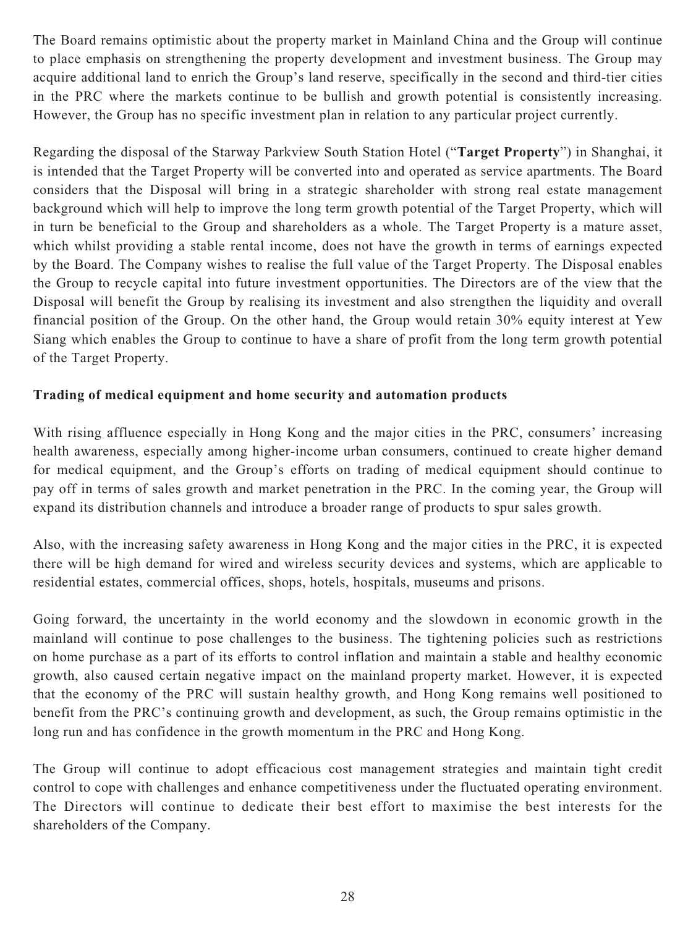The Board remains optimistic about the property market in Mainland China and the Group will continue to place emphasis on strengthening the property development and investment business. The Group may acquire additional land to enrich the Group's land reserve, specifically in the second and third-tier cities in the PRC where the markets continue to be bullish and growth potential is consistently increasing. However, the Group has no specific investment plan in relation to any particular project currently.

Regarding the disposal of the Starway Parkview South Station Hotel ("**Target Property**") in Shanghai, it is intended that the Target Property will be converted into and operated as service apartments. The Board considers that the Disposal will bring in a strategic shareholder with strong real estate management background which will help to improve the long term growth potential of the Target Property, which will in turn be beneficial to the Group and shareholders as a whole. The Target Property is a mature asset, which whilst providing a stable rental income, does not have the growth in terms of earnings expected by the Board. The Company wishes to realise the full value of the Target Property. The Disposal enables the Group to recycle capital into future investment opportunities. The Directors are of the view that the Disposal will benefit the Group by realising its investment and also strengthen the liquidity and overall financial position of the Group. On the other hand, the Group would retain 30% equity interest at Yew Siang which enables the Group to continue to have a share of profit from the long term growth potential of the Target Property.

## **Trading of medical equipment and home security and automation products**

With rising affluence especially in Hong Kong and the major cities in the PRC, consumers' increasing health awareness, especially among higher-income urban consumers, continued to create higher demand for medical equipment, and the Group's efforts on trading of medical equipment should continue to pay off in terms of sales growth and market penetration in the PRC. In the coming year, the Group will expand its distribution channels and introduce a broader range of products to spur sales growth.

Also, with the increasing safety awareness in Hong Kong and the major cities in the PRC, it is expected there will be high demand for wired and wireless security devices and systems, which are applicable to residential estates, commercial offices, shops, hotels, hospitals, museums and prisons.

Going forward, the uncertainty in the world economy and the slowdown in economic growth in the mainland will continue to pose challenges to the business. The tightening policies such as restrictions on home purchase as a part of its efforts to control inflation and maintain a stable and healthy economic growth, also caused certain negative impact on the mainland property market. However, it is expected that the economy of the PRC will sustain healthy growth, and Hong Kong remains well positioned to benefit from the PRC's continuing growth and development, as such, the Group remains optimistic in the long run and has confidence in the growth momentum in the PRC and Hong Kong.

The Group will continue to adopt efficacious cost management strategies and maintain tight credit control to cope with challenges and enhance competitiveness under the fluctuated operating environment. The Directors will continue to dedicate their best effort to maximise the best interests for the shareholders of the Company.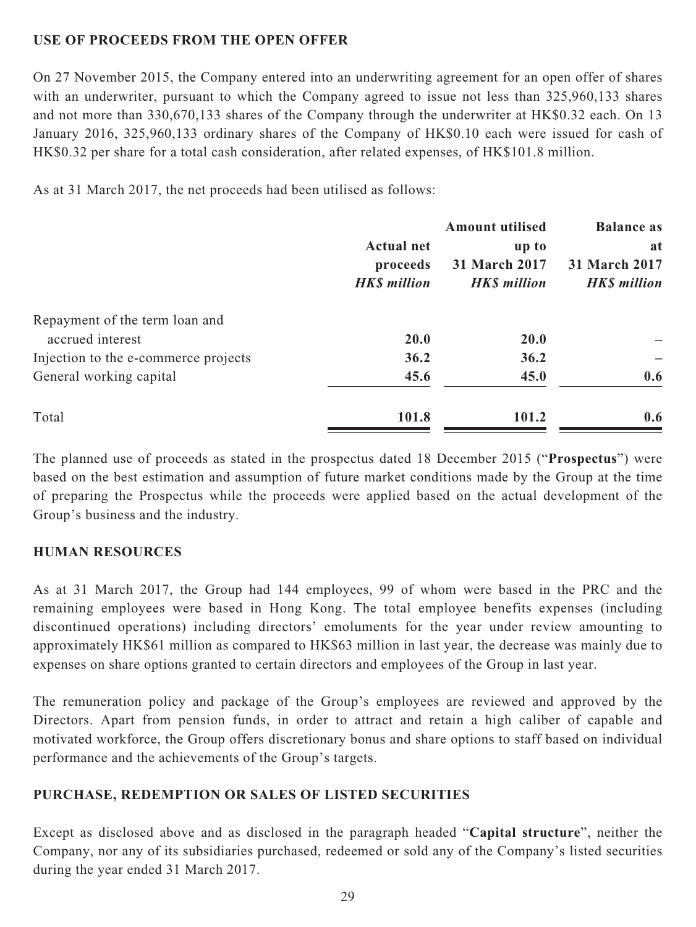## **USE OF PROCEEDS FROM THE OPEN OFFER**

On 27 November 2015, the Company entered into an underwriting agreement for an open offer of shares with an underwriter, pursuant to which the Company agreed to issue not less than 325,960,133 shares and not more than 330,670,133 shares of the Company through the underwriter at HK\$0.32 each. On 13 January 2016, 325,960,133 ordinary shares of the Company of HK\$0.10 each were issued for cash of HK\$0.32 per share for a total cash consideration, after related expenses, of HK\$101.8 million.

As at 31 March 2017, the net proceeds had been utilised as follows:

| <b>Actual net</b><br>proceeds<br><b>HKS</b> million | <b>Amount utilised</b><br>up to<br>31 March 2017<br><b>HK\$</b> million | <b>Balance as</b><br>at<br>31 March 2017<br><b>HKS</b> million |      |             |  |
|-----------------------------------------------------|-------------------------------------------------------------------------|----------------------------------------------------------------|------|-------------|--|
|                                                     |                                                                         |                                                                |      |             |  |
|                                                     |                                                                         |                                                                | 20.0 | <b>20.0</b> |  |
|                                                     |                                                                         |                                                                | 36.2 | 36.2        |  |
| 45.6                                                | 45.0                                                                    | 0.6                                                            |      |             |  |
| 101.8                                               | 101.2                                                                   | 0.6                                                            |      |             |  |
|                                                     |                                                                         |                                                                |      |             |  |

The planned use of proceeds as stated in the prospectus dated 18 December 2015 ("**Prospectus**") were based on the best estimation and assumption of future market conditions made by the Group at the time of preparing the Prospectus while the proceeds were applied based on the actual development of the Group's business and the industry.

## **HUMAN RESOURCES**

As at 31 March 2017, the Group had 144 employees, 99 of whom were based in the PRC and the remaining employees were based in Hong Kong. The total employee benefits expenses (including discontinued operations) including directors' emoluments for the year under review amounting to approximately HK\$61 million as compared to HK\$63 million in last year, the decrease was mainly due to expenses on share options granted to certain directors and employees of the Group in last year.

The remuneration policy and package of the Group's employees are reviewed and approved by the Directors. Apart from pension funds, in order to attract and retain a high caliber of capable and motivated workforce, the Group offers discretionary bonus and share options to staff based on individual performance and the achievements of the Group's targets.

## **PURCHASE, REDEMPTION OR SALES OF LISTED SECURITIES**

Except as disclosed above and as disclosed in the paragraph headed "**Capital structure**", neither the Company, nor any of its subsidiaries purchased, redeemed or sold any of the Company's listed securities during the year ended 31 March 2017.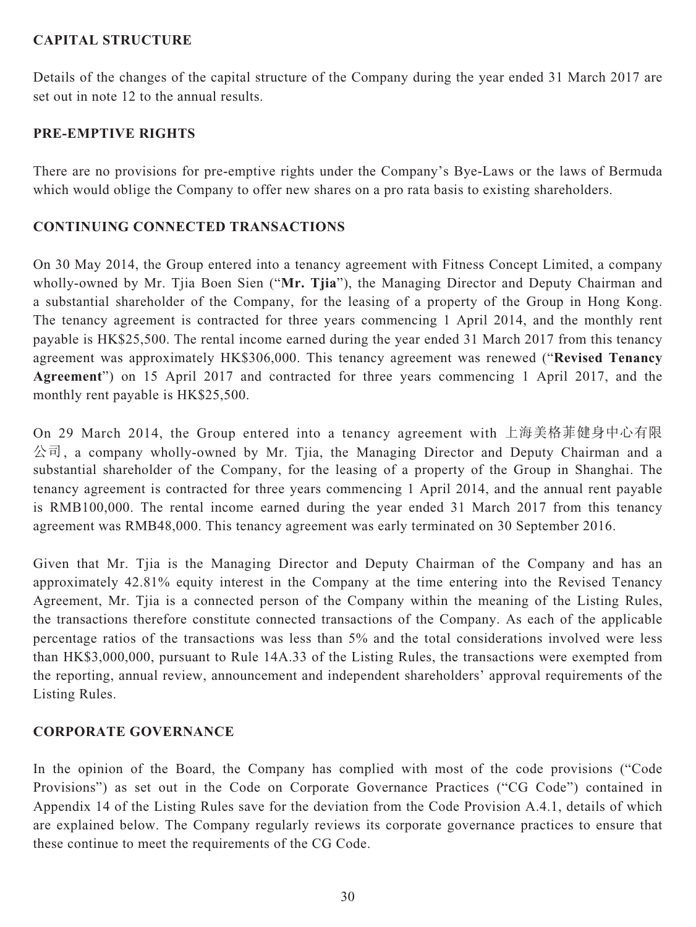## **CAPITAL STRUCTURE**

Details of the changes of the capital structure of the Company during the year ended 31 March 2017 are set out in note 12 to the annual results.

# **PRE-EMPTIVE RIGHTS**

There are no provisions for pre-emptive rights under the Company's Bye-Laws or the laws of Bermuda which would oblige the Company to offer new shares on a pro rata basis to existing shareholders.

## **CONTINUING CONNECTED TRANSACTIONS**

On 30 May 2014, the Group entered into a tenancy agreement with Fitness Concept Limited, a company wholly-owned by Mr. Tjia Boen Sien ("**Mr. Tjia**"), the Managing Director and Deputy Chairman and a substantial shareholder of the Company, for the leasing of a property of the Group in Hong Kong. The tenancy agreement is contracted for three years commencing 1 April 2014, and the monthly rent payable is HK\$25,500. The rental income earned during the year ended 31 March 2017 from this tenancy agreement was approximately HK\$306,000. This tenancy agreement was renewed ("**Revised Tenancy Agreement**") on 15 April 2017 and contracted for three years commencing 1 April 2017, and the monthly rent payable is HK\$25,500.

On 29 March 2014, the Group entered into a tenancy agreement with 上海美格菲健身中心有限 公司, a company wholly-owned by Mr. Tjia, the Managing Director and Deputy Chairman and a substantial shareholder of the Company, for the leasing of a property of the Group in Shanghai. The tenancy agreement is contracted for three years commencing 1 April 2014, and the annual rent payable is RMB100,000. The rental income earned during the year ended 31 March 2017 from this tenancy agreement was RMB48,000. This tenancy agreement was early terminated on 30 September 2016.

Given that Mr. Tjia is the Managing Director and Deputy Chairman of the Company and has an approximately 42.81% equity interest in the Company at the time entering into the Revised Tenancy Agreement, Mr. Tjia is a connected person of the Company within the meaning of the Listing Rules, the transactions therefore constitute connected transactions of the Company. As each of the applicable percentage ratios of the transactions was less than 5% and the total considerations involved were less than HK\$3,000,000, pursuant to Rule 14A.33 of the Listing Rules, the transactions were exempted from the reporting, annual review, announcement and independent shareholders' approval requirements of the Listing Rules.

# **CORPORATE GOVERNANCE**

In the opinion of the Board, the Company has complied with most of the code provisions ("Code Provisions") as set out in the Code on Corporate Governance Practices ("CG Code") contained in Appendix 14 of the Listing Rules save for the deviation from the Code Provision A.4.1, details of which are explained below. The Company regularly reviews its corporate governance practices to ensure that these continue to meet the requirements of the CG Code.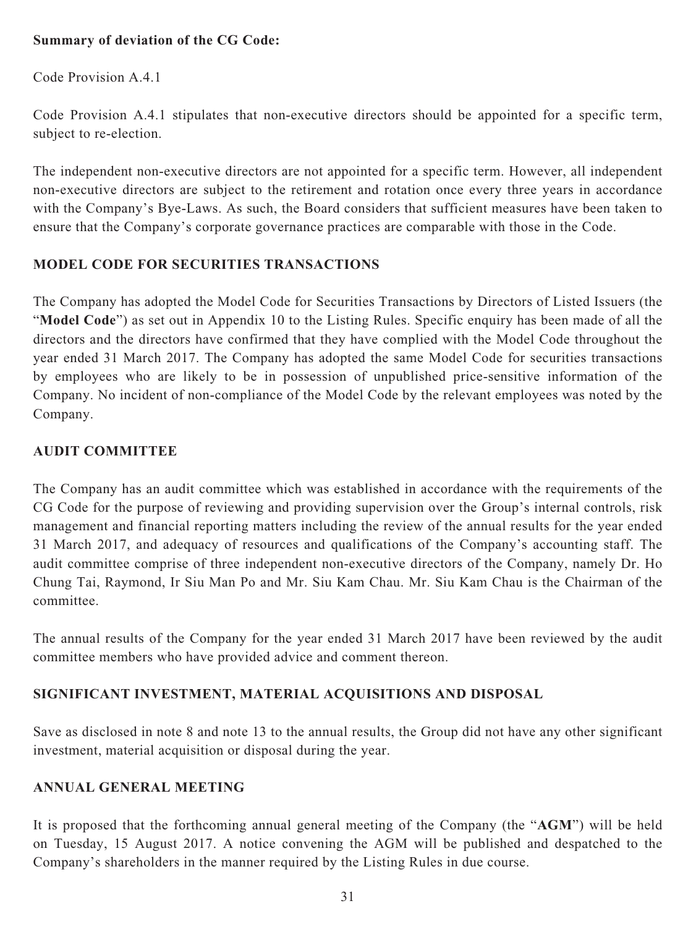## **Summary of deviation of the CG Code:**

Code Provision A.4.1

Code Provision A.4.1 stipulates that non-executive directors should be appointed for a specific term, subject to re-election.

The independent non-executive directors are not appointed for a specific term. However, all independent non-executive directors are subject to the retirement and rotation once every three years in accordance with the Company's Bye-Laws. As such, the Board considers that sufficient measures have been taken to ensure that the Company's corporate governance practices are comparable with those in the Code.

# **MODEL CODE FOR SECURITIES TRANSACTIONS**

The Company has adopted the Model Code for Securities Transactions by Directors of Listed Issuers (the "**Model Code**") as set out in Appendix 10 to the Listing Rules. Specific enquiry has been made of all the directors and the directors have confirmed that they have complied with the Model Code throughout the year ended 31 March 2017. The Company has adopted the same Model Code for securities transactions by employees who are likely to be in possession of unpublished price-sensitive information of the Company. No incident of non-compliance of the Model Code by the relevant employees was noted by the Company.

# **AUDIT COMMITTEE**

The Company has an audit committee which was established in accordance with the requirements of the CG Code for the purpose of reviewing and providing supervision over the Group's internal controls, risk management and financial reporting matters including the review of the annual results for the year ended 31 March 2017, and adequacy of resources and qualifications of the Company's accounting staff. The audit committee comprise of three independent non-executive directors of the Company, namely Dr. Ho Chung Tai, Raymond, Ir Siu Man Po and Mr. Siu Kam Chau. Mr. Siu Kam Chau is the Chairman of the committee.

The annual results of the Company for the year ended 31 March 2017 have been reviewed by the audit committee members who have provided advice and comment thereon.

# **SIGNIFICANT INVESTMENT, MATERIAL ACQUISITIONS AND DISPOSAL**

Save as disclosed in note 8 and note 13 to the annual results, the Group did not have any other significant investment, material acquisition or disposal during the year.

# **ANNUAL GENERAL MEETING**

It is proposed that the forthcoming annual general meeting of the Company (the "**AGM**") will be held on Tuesday, 15 August 2017. A notice convening the AGM will be published and despatched to the Company's shareholders in the manner required by the Listing Rules in due course.